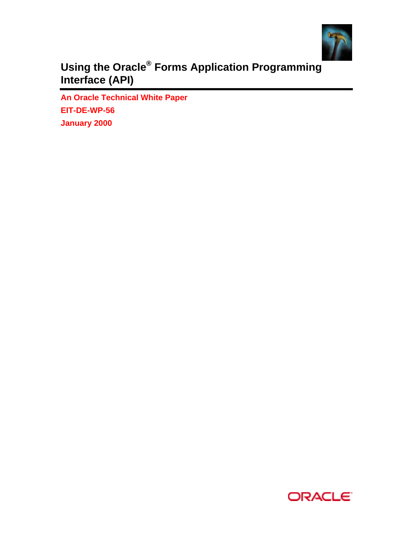

**Using the Oracle® Forms Application Programming Interface (API)**

**An Oracle Technical White Paper EIT-DE-WP-56 January 2000**

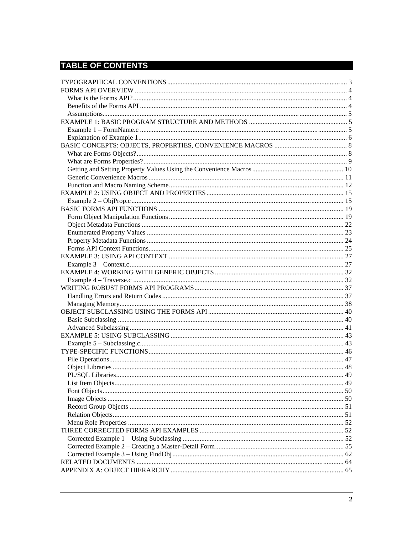# **TABLE OF CONTENTS**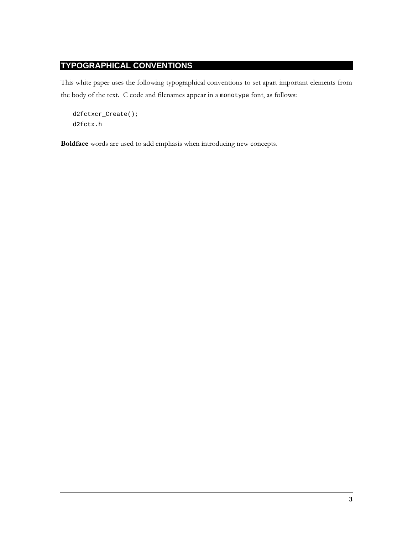# **TYPOGRAPHICAL CONVENTIONS**

This white paper uses the following typographical conventions to set apart important elements from the body of the text. C code and filenames appear in a monotype font, as follows:

```
d2fctxcr_Cread();
d2fctx.h
```
Boldface words are used to add emphasis when introducing new concepts.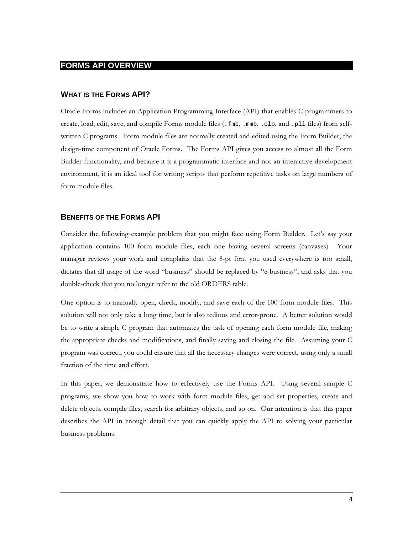# **FORMS API OVERVIEW**

#### **WHAT IS THE FORMS API?**

Oracle Forms includes an Application Programming Interface (API) that enables C programmers to create, load, edit, save, and compile Forms module files (. fmb, . mmb, . o1b, and . p11 files) from selfwritten C programs. Form module files are normally created and edited using the Form Builder, the design-time component of Oracle Forms. The Forms API gives you access to almost all the Form Builder functionality, and because it is a programmatic interface and not an interactive development environment, it is an ideal tool for writing scripts that perform repetitive tasks on large numbers of form module files.

#### **BENEFITS OF THE FORMS API**

Consider the following example problem that you might face using Form Builder. Let's say your application contains 100 form module files, each one having several screens (canvases). Your manager reviews your work and complains that the 8-pt font you used everywhere is too small, dictates that all usage of the word "business" should be replaced by "e-business", and asks that you double-check that you no longer refer to the old ORDERS table.

One option is to manually open, check, modify, and save each of the 100 form module files. This solution will not only take a long time, but is also tedious and error-prone. A better solution would be to write a simple C program that automates the task of opening each form module file, making the appropriate checks and modifications, and finally saving and closing the file. Assuming your C program was correct, you could ensure that all the necessary changes were correct, using only a small fraction of the time and effort.

In this paper, we demonstrate how to effectively use the Forms API. Using several sample C programs, we show you how to work with form module files, get and set properties, create and delete objects, compile files, search for arbitrary objects, and so on. Our intention is that this paper describes the API in enough detail that you can quickly apply the API to solving your particular business problems.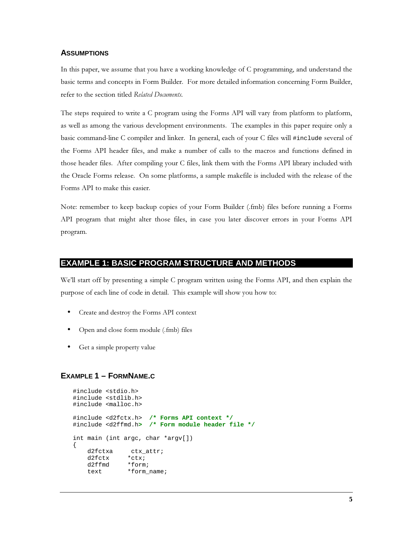#### **ASSUMPTIONS**

In this paper, we assume that you have a working knowledge of C programming, and understand the basic terms and concepts in Form Builder. For more detailed information concerning Form Builder, refer to the section titled Related Documents.

The steps required to write a C program using the Forms API will vary from platform to platform, as well as among the various development environments. The examples in this paper require only a basic command-line C compiler and linker. In general, each of your C files will #include several of the Forms API header files, and make a number of calls to the macros and functions defined in those header files. After compiling your C files, link them with the Forms API library included with the Oracle Forms release. On some platforms, a sample makefile is included with the release of the Forms API to make this easier.

Note: remember to keep backup copies of your Form Builder (.fmb) files before running a Forms API program that might alter those files, in case you later discover errors in your Forms API program.

# **EXAMPLE 1: BASIC PROGRAM STRUCTURE AND METHODS**

We'll start off by presenting a simple C program written using the Forms API, and then explain the purpose of each line of code in detail. This example will show you how to:

- Create and destroy the Forms API context
- Open and close form module (.fmb) files
- Get a simple property value

# **EXAMPLE 1 - FORMNAME.C**

```
#include <stdio.h>
#include <stdlib.h>
#include <malloc.h>
#include <d2fctx.h> /* Forms API context */
#include <d2ffmd.h> /* Form module header file */
int main (int argc, char *argv[])
\left\{ \right.d2fctxa
                ctx attr;
    d2fctx
                *ctx;
    d2ffmd*form;
    text.
                *form name;
```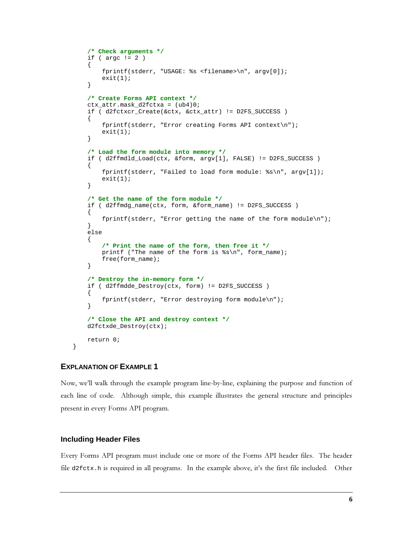```
 /* Check arguments */
   if ( \arg c != 2 )
     {
         fprintf(stderr, "USAGE: %s <filename>\n", argv[0]);
        exit(1); }
     /* Create Forms API context */
    ctx_attr.mask_d2fctxa = (ub4)0;
    if ( d2fctxcr_Create(&ctx, &ctx_attr) != D2FS_SUCCESS )
     {
         fprintf(stderr, "Error creating Forms API context\n");
        exit(1); }
     /* Load the form module into memory */
    if ( d2ffmdld_Load(ctx, &form, argv[1], FALSE) != D2FS_SUCCESS )
\{fprintf(stderr, "Failed to load form module: s\<sup>n</sup>, argv[1]);
        exit(1); }
     /* Get the name of the form module */
    if ( d2ffmdg_name(ctx, form, &form_name) != D2FS_SUCCESS )
     {
         fprintf(stderr, "Error getting the name of the form module\n");
     }
    else
     {
         /* Print the name of the form, then free it */
        printf ("The name of the form is s\n", form_name);
         free(form_name);
     }
     /* Destroy the in-memory form */
    if ( d2ffmdde_Destroy(ctx, form) != D2FS_SUCCESS )
     {
         fprintf(stderr, "Error destroying form module\n");
     }
     /* Close the API and destroy context */
    d2fctxde_Destroy(ctx);
    return 0;
```
# **EXPLANATION OF EXAMPLE 1**

}

Now, we'll walk through the example program line-by-line, explaining the purpose and function of each line of code. Although simple, this example illustrates the general structure and principles present in every Forms API program.

#### **Including Header Files**

Every Forms API program must include one or more of the Forms API header files. The header file  $d2fctx$ .h is required in all programs. In the example above, it's the first file included. Other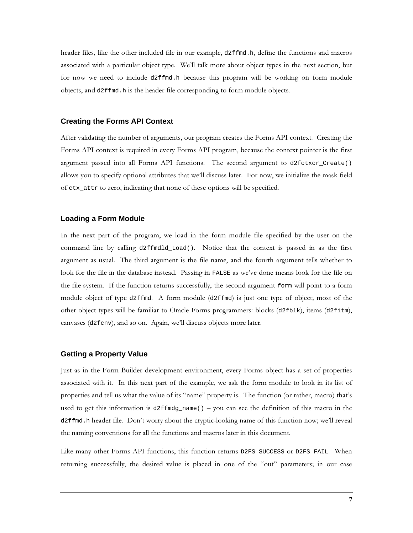header files, like the other included file in our example, d2ffmd.h, define the functions and macros associated with a particular object type. We'll talk more about object types in the next section, but for now we need to include d2ffmd.h because this program will be working on form module objects, and d2ffmd.h is the header file corresponding to form module objects.

#### **Creating the Forms API Context**

After validating the number of arguments, our program creates the Forms API context. Creating the Forms API context is required in every Forms API program, because the context pointer is the first argument passed into all Forms API functions. The second argument to d2fctxcr\_Create() allows you to specify optional attributes that we'll discuss later. For now, we initialize the mask field of ctx\_attr to zero, indicating that none of these options will be specified.

#### **Loading a Form Module**

In the next part of the program, we load in the form module file specified by the user on the command line by calling d2ffmdld\_Load(). Notice that the context is passed in as the first argument as usual. The third argument is the file name, and the fourth argument tells whether to look for the file in the database instead. Passing in FALSE as we've done means look for the file on the file system. If the function returns successfully, the second argument form will point to a form module object of type d2ffmd. A form module (d2ffmd) is just one type of object; most of the other object types will be familiar to Oracle Forms programmers: blocks (d2fb1k), items (d2fitm), canvases (d2f cnv), and so on. Again, we'll discuss objects more later.

#### **Getting a Property Value**

Just as in the Form Builder development environment, every Forms object has a set of properties associated with it. In this next part of the example, we ask the form module to look in its list of properties and tell us what the value of its "name" property is. The function (or rather, macro) that's used to get this information is d2f  $f$ mdg\_name() – you can see the definition of this macro in the d2ffmd.h header file. Don't worry about the cryptic-looking name of this function now; we'll reveal the naming conventions for all the functions and macros later in this document.

Like many other Forms API functions, this function returns D2FS\_SUCCESS or D2FS\_FAIL. When returning successfully, the desired value is placed in one of the "out" parameters; in our case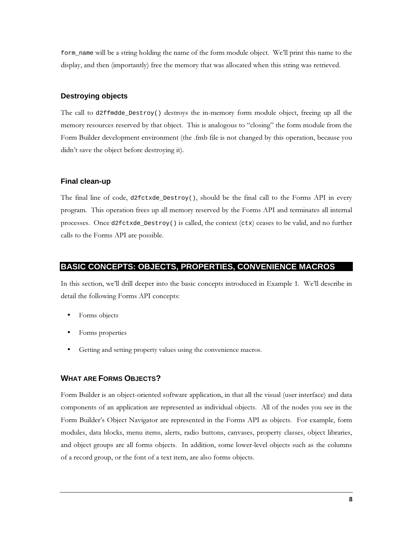form name will be a string holding the name of the form module object. We'll print this name to the display, and then (importantly) free the memory that was allocated when this string was retrieved.

#### **Destroying objects**

The call to d2ffmdde\_Destroy() destroys the in-memory form module object, freeing up all the memory resources reserved by that object. This is analogous to "closing" the form module from the Form Builder development environment (the .fmb file is not changed by this operation, because you didn't save the object before destroying it).

#### **Final clean-up**

The final line of code, d2fctxde\_Destroy(), should be the final call to the Forms API in every program. This operation frees up all memory reserved by the Forms API and terminates all internal processes. Once d2fctxde\_Destroy() is called, the context (ctx) ceases to be valid, and no further calls to the Forms API are possible.

#### **BASIC CONCEPTS: OBJECTS, PROPERTIES, CONVENIENCE MACROS**

In this section, we'll drill deeper into the basic concepts introduced in Example 1. We'll describe in detail the following Forms API concepts:

- Forms objects
- Forms properties
- Getting and setting property values using the convenience macros.

## **WHAT ARE FORMS OBJECTS?**

Form Builder is an object-oriented software application, in that all the visual (user interface) and data components of an application are represented as individual objects. All of the nodes you see in the Form Builder's Object Navigator are represented in the Forms API as objects. For example, form modules, data blocks, menu items, alerts, radio buttons, canvases, property classes, object libraries, and object groups are all forms objects. In addition, some lower-level objects such as the columns of a record group, or the font of a text item, are also forms objects.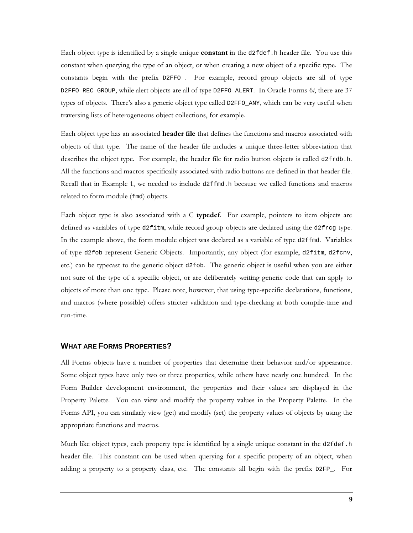Each object type is identified by a single unique **constant** in the d2fdef. h header file. You use this constant when querying the type of an object, or when creating a new object of a specific type. The constants begin with the prefix D2FFO\_. For example, record group objects are all of type D2FFO\_REC\_GROUP, while alert objects are all of type D2FFO\_ALERT. In Oracle Forms 6i, there are 37 types of objects. There's also a generic object type called D2FF0\_ANY, which can be very useful when traversing lists of heterogeneous object collections, for example.

Each object type has an associated header file that defines the functions and macros associated with objects of that type. The name of the header file includes a unique three-letter abbreviation that describes the object type. For example, the header file for radio button objects is called d2frdb.h. All the functions and macros specifically associated with radio buttons are defined in that header file. Recall that in Example 1, we needed to include d2ffmd. h because we called functions and macros related to form module (fmd) objects.

Each object type is also associated with a C typedef. For example, pointers to item objects are defined as variables of type d2fitm, while record group objects are declared using the d2frcg type. In the example above, the form module object was declared as a variable of type d2ffmd. Variables of type d2fob represent Generic Objects. Importantly, any object (for example, d2fitm, d2fcnv, etc.) can be typecast to the generic object d2f ob. The generic object is useful when you are either not sure of the type of a specific object, or are deliberately writing generic code that can apply to objects of more than one type. Please note, however, that using type-specific declarations, functions, and macros (where possible) offers stricter validation and type-checking at both compile-time and run-time.

## **WHAT ARE FORMS PROPERTIES?**

All Forms objects have a number of properties that determine their behavior and/or appearance. Some object types have only two or three properties, while others have nearly one hundred. In the Form Builder development environment, the properties and their values are displayed in the Property Palette. You can view and modify the property values in the Property Palette. In the Forms API, you can similarly view (get) and modify (set) the property values of objects by using the appropriate functions and macros.

Much like object types, each property type is identified by a single unique constant in the d2fdef.h header file. This constant can be used when querying for a specific property of an object, when adding a property to a property class, etc. The constants all begin with the prefix D2FP\_. For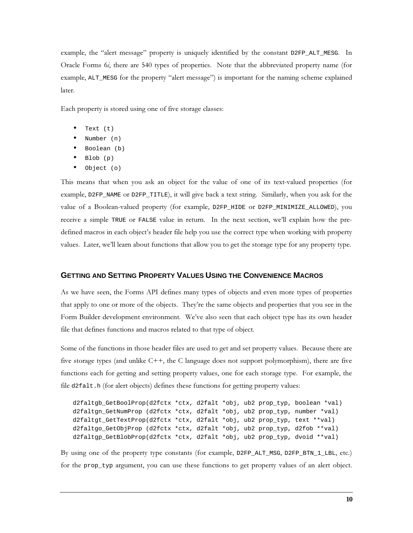example, the "alert message" property is uniquely identified by the constant D2FP\_ALT\_MESG. In Oracle Forms 6*i*, there are 540 types of properties. Note that the abbreviated property name (for example, ALT\_MESG for the property "alert message") is important for the naming scheme explained later.

Each property is stored using one of five storage classes:

- Text (t)
- $\bullet$  Number  $(n)$
- Boolean (b)  $\bullet$
- $\bullet$ Blob (p)
- Object  $(o)$  $\bullet$

This means that when you ask an object for the value of one of its text-valued properties (for example, D2FP\_NAME or D2FP\_TITLE), it will give back a text string. Similarly, when you ask for the value of a Boolean-valued property (for example, D2FP\_HIDE or D2FP\_MINIMIZE\_ALLOWED), you receive a simple TRUE or FALSE value in return. In the next section, we'll explain how the predefined macros in each object's header file help you use the correct type when working with property values. Later, we'll learn about functions that allow you to get the storage type for any property type.

# **GETTING AND SETTING PROPERTY VALUES USING THE CONVENIENCE MACROS**

As we have seen, the Forms API defines many types of objects and even more types of properties that apply to one or more of the objects. They're the same objects and properties that you see in the Form Builder development environment. We've also seen that each object type has its own header file that defines functions and macros related to that type of object.

Some of the functions in those header files are used to get and set property values. Because there are five storage types (and unlike  $C++$ , the C language does not support polymorphism), there are five functions each for getting and setting property values, one for each storage type. For example, the file d2falt.h (for alert objects) defines these functions for getting property values:

```
d2faltgb_GetBoolProp(d2fctx *ctx, d2falt *obj, ub2 prop_typ, boolean *val)
d2faltgn_GetNumProp (d2fctx *ctx, d2falt *obj, ub2 prop_typ, number *val)
d2faltgt_GetTextProp(d2fctx *ctx, d2falt *obj, ub2 prop_typ, text **val)
d2faltgo_GetObjProp (d2fctx *ctx, d2falt *obj, ub2 prop_typ, d2fob **val)
d2faltgp_GetBlobProp(d2fctx *ctx, d2falt *obj, ub2 prop_typ, dvoid **val)
```
By using one of the property type constants (for example, D2FP\_ALT\_MSG, D2FP\_BTN\_1\_LBL, etc.) for the prop\_typ argument, you can use these functions to get property values of an alert object.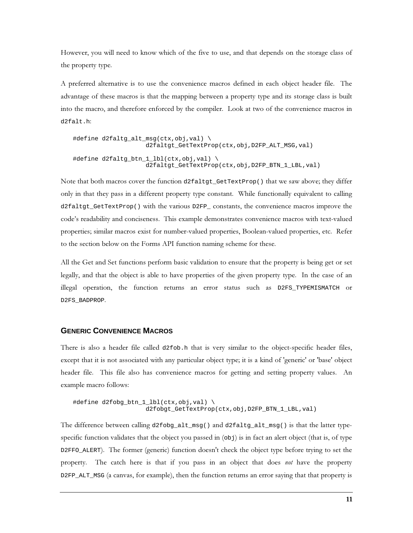However, you will need to know which of the five to use, and that depends on the storage class of the property type.

A preferred alternative is to use the convenience macros defined in each object header file. The advantage of these macros is that the mapping between a property type and its storage class is built into the macro, and therefore enforced by the compiler. Look at two of the convenience macros in d2falt.h

```
#define d2faltg alt msg(ctx,obj,val) \
                     d2faltgt_GetTextProp(ctx,obj,D2FP_ALT_MSG,val)
#define d2faltg_btn_1_lbl(ctx,obj,val) \
                     d2faltgt_GetTextProp(ctx,obj,D2FP_BTN_1_LBL,val)
```
Note that both macros cover the function d2faltgt\_GetTextProp() that we saw above; they differ only in that they pass in a different property type constant. While functionally equivalent to calling d2faltgt\_GetTextProp() with the various D2FP\_constants, the convenience macros improve the code's readability and conciseness. This example demonstrates convenience macros with text-valued properties; similar macros exist for number-valued properties, Boolean-valued properties, etc. Refer to the section below on the Forms API function naming scheme for these.

All the Get and Set functions perform basic validation to ensure that the property is being get or set legally, and that the object is able to have properties of the given property type. In the case of an illegal operation, the function returns an error status such as D2FS\_TYPEMISMATCH or D2FS\_BADPROP

#### **GENERIC CONVENIENCE MACROS**

There is also a header file called d2fob.h that is very similar to the object-specific header files, except that it is not associated with any particular object type; it is a kind of 'generic' or 'base' object header file. This file also has convenience macros for getting and setting property values. An example macro follows:

```
#define d2fobg_btn_1_lbl(ctx,obj,val) \
                     d2fobgt_GetTextProp(ctx,obj,D2FP_BTN_1_LBL,val)
```
The difference between calling  $d2f \circ bg\_alt\_msg()$  and  $d2f \circ dg\_alt\_msg()$  is that the latter typespecific function validates that the object you passed in  $(\infty b)$  is in fact an alert object (that is, of type D2FFO\_ALERT). The former (generic) function doesn't check the object type before trying to set the property. The catch here is that if you pass in an object that does not have the property D2FP\_ALT\_MSG (a canvas, for example), then the function returns an error saying that that property is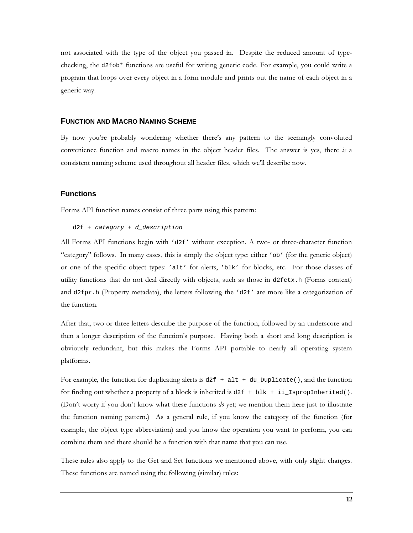not associated with the type of the object you passed in. Despite the reduced amount of typechecking, the d2fob\* functions are useful for writing generic code. For example, you could write a program that loops over every object in a form module and prints out the name of each object in a generic way.

#### **FUNCTION AND MACRO NAMING SCHEME**

By now you're probably wondering whether there's any pattern to the seemingly convoluted convenience function and macro names in the object header files. The answer is yes, there  $i\bar{i}$  a consistent naming scheme used throughout all header files, which we'll describe now.

#### **Functions**

Forms API function names consist of three parts using this pattern:

```
d2f + category + d_description
```
All Forms API functions begin with 'd2f' without exception. A two- or three-character function "category" follows. In many cases, this is simply the object type: either 'ob' (for the generic object) or one of the specific object types: 'alt' for alerts, 'blk' for blocks, etc. For those classes of utility functions that do not deal directly with objects, such as those in  $d2fctx$ .h (Forms context) and d2fpr.h (Property metadata), the letters following the 'd2f' are more like a categorization of the function.

After that, two or three letters describe the purpose of the function, followed by an underscore and then a longer description of the function's purpose. Having both a short and long description is obviously redundant, but this makes the Forms API portable to nearly all operating system platforms.

For example, the function for duplicating alerts is  $d2f + alt + du\_Duplicate($ , and the function for finding out whether a property of a block is inherited is  $d2f + b1k + i1$  is propInherited(). (Don't worry if you don't know what these functions *do* yet; we mention them here just to illustrate the function naming pattern.) As a general rule, if you know the category of the function (for example, the object type abbreviation) and you know the operation you want to perform, you can combine them and there should be a function with that name that you can use.

These rules also apply to the Get and Set functions we mentioned above, with only slight changes. These functions are named using the following (similar) rules: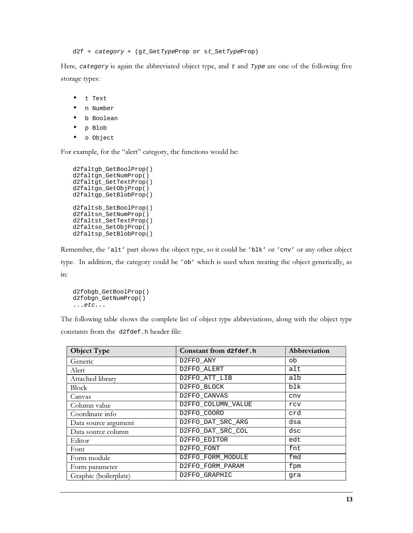d2f + category + (gt\_GetTypeProp or st\_SetTypeProp)

Here, category is again the abbreviated object type, and t and Type are one of the following five storage types:

- $\bullet$ t Text
- n Number
- $\bullet$ b Boolean
- $\bullet$ p Blob
- o Object  $\bullet$

For example, for the "alert" category, the functions would be:

```
d2faltgb_GetBoolProp()
d2faltgn_GetNumProp()
d2faltgt_GetTextProp()
d2faltgo_GetObjProp()
d2faltgp_GetBlobProp()
d2faltsb_SetBoolProp()
d2faltsn_SetNumProp()
d2faltst_SetTextProp()
d2faltso_SetObjProp()
d2faltsp_SetBlobProp()
```
Remember, the 'alt' part shows the object type, so it could be 'blk' or 'cnv' or any other object type. In addition, the category could be 'ob' which is used when treating the object generically, as  $in:$ 

```
d2fobgb_GetBoolProp()
d2fobgn_GetNumProp()
\ldotsetc...
```
The following table shows the complete list of object type abbreviations, along with the object type constants from the d2fdef.h header file:

| <b>Object Type</b>    | Constant from d2fdef.h | Abbreviation |
|-----------------------|------------------------|--------------|
| Generic               | D2FFO ANY              | ob           |
| Alert                 | D2FFO ALERT            | alt          |
| Attached library      | D2FFO_ATT_LIB          | alb          |
| <b>Block</b>          | D2FFO BLOCK            | blk          |
| Canvas                | D2FFO_CANVAS           | cnv          |
| Column value          | D2FFO_COLUMN_VALUE     | rcv          |
| Coordinate info       | D2FFO COORD            | crd          |
| Data source argument  | D2FFO DAT SRC ARG      | dsa          |
| Data source column    | D2FFO DAT SRC COL      | dsc          |
| Editor                | D2FFO EDITOR           | edt          |
| Font                  | D2FFO FONT             | fnt          |
| Form module           | D2FFO_FORM_MODULE      | fmd          |
| Form parameter        | D2FFO FORM PARAM       | fpm          |
| Graphic (boilerplate) | D2FFO GRAPHIC          | qra          |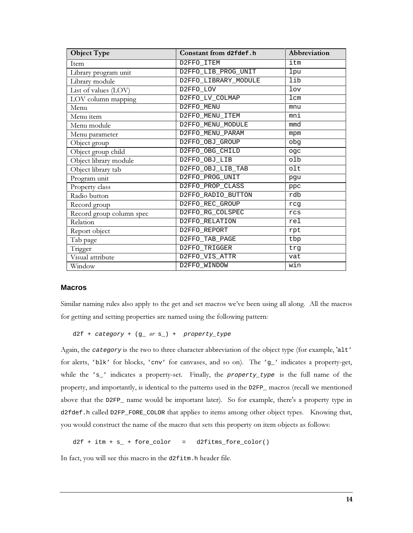| <b>Object Type</b>       | Constant from d2fdef.h | Abbreviation |
|--------------------------|------------------------|--------------|
| <b>Item</b>              | D2FFO ITEM             | itm          |
| Library program unit     | D2FFO_LIB_PROG_UNIT    | lpu          |
| Library module           | D2FFO_LIBRARY_MODULE   | lib          |
| List of values (LOV)     | D2FFO LOV              | lov          |
| LOV column mapping       | D2FFO LV COLMAP        | 1cm          |
| Menu                     | D2FFO MENU             | mnu          |
| Menu item                | D2FFO_MENU_ITEM        | mni          |
| Menu module              | D2FFO_MENU_MODULE      | mmd          |
| Menu parameter           | D2FFO_MENU_PARAM       | mpm          |
| Object group             | D2FFO_OBJ_GROUP        | pdo          |
| Object group child       | D2FFO OBG CHILD        | oqc          |
| Object library module    | D2FFO_OBJ_LIB          | olb          |
| Object library tab       | D2FFO_OBJ_LIB_TAB      | olt          |
| Program unit             | D2FFO_PROG_UNIT        | pgu          |
| Property class           | D2FFO_PROP_CLASS       | ppc          |
| Radio button             | D2FFO_RADIO_BUTTON     | rdb          |
| Record group             | D2FFO_REC_GROUP        | rcq          |
| Record group column spec | D2FFO_RG_COLSPEC       | rcs          |
| Relation                 | D2FFO RELATION         | rel          |
| Report object            | D2FFO REPORT           | rpt          |
| Tab page                 | D2FFO TAB PAGE         | tbp          |
| Trigger                  | D2FFO_TRIGGER          | trq          |
| Visual attribute         | D2FFO_VIS_ATTR         | vat          |
| Window                   | D2FFO_WINDOW           | win          |

#### **Macros**

Similar naming rules also apply to the get and set macros we've been using all along. All the macros for getting and setting properties are named using the following pattern:

 $d2f + category + (g or s) + property_type$ 

Again, the category is the two to three character abbreviation of the object type (for example, 'alt' for alerts, 'blk' for blocks, 'cnv' for canvases, and so on). The 'g\_' indicates a property-get, while the 's\_' indicates a property-set. Finally, the property\_type is the full name of the property, and importantly, is identical to the patterns used in the D2FP\_ macros (recall we mentioned above that the D2FP\_ name would be important later). So for example, there's a property type in d2fdef.h called D2FP\_FORE\_COLOR that applies to items among other object types. Knowing that, you would construct the name of the macro that sets this property on item objects as follows:

 $d2f + itm + s_+ + force\_color$ d2fitms\_fore\_color()  $\equiv$   $\equiv$ 

In fact, you will see this macro in the d2fitm.h header file.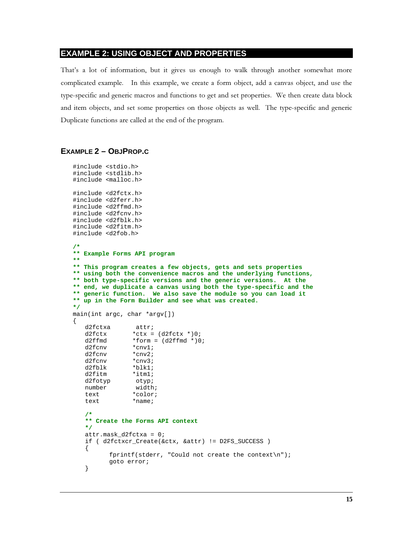## **EXAMPLE 2: USING OBJECT AND PROPERTIES**

That's a lot of information, but it gives us enough to walk through another somewhat more complicated example. In this example, we create a form object, add a canvas object, and use the type-specific and generic macros and functions to get and set properties. We then create data block and item objects, and set some properties on those objects as well. The type-specific and generic Duplicate functions are called at the end of the program.

#### **EXAMPLE 2 – OBJPROP.C**

```
#include <stdio.h>
#include <stdlib.h>
#include <malloc.h>
#include <d2fctx.h>
#include <d2ferr.h>
#include <d2ffmd.h>
#include <d2fcnv.h>
#include <d2fblk.h>
#include <d2fitm.h>
#include <d2fob.h>
/*
** Example Forms API program
**
** This program creates a few objects, gets and sets properties
** using both the convenience macros and the underlying functions,
** both type-specific versions and the generic versions. At the
** end, we duplicate a canvas using both the type-specific and the
** generic function. We also save the module so you can load it
** up in the Form Builder and see what was created.
*/
main(int argc, char *argv[])
{
    d2fctxa attr;
   d2fctx *ctx = (d2fctx * )0;d2ffmd *form = (d2ffmd *)0;<br>d2fcnv *cnv1;
   d2fcnv *cnv1;<br>d2fcnv *cnv2;
   d2fcnv
    d2fcnv *cnv3;
   d2fblk *blk1;<br>d2fitm *itml;
   d2fitm
    d2fotyp otyp;
    number width;
    text *color;
   text *name;
    /*
    ** Create the Forms API context
    */
    attr.mask_d2fctxa = 0;
    if ( d2fctxcr_Create(&ctx, &attr) != D2FS_SUCCESS )
    {
           fprintf(stderr, "Could not create the context\n");
           goto error;
    }
```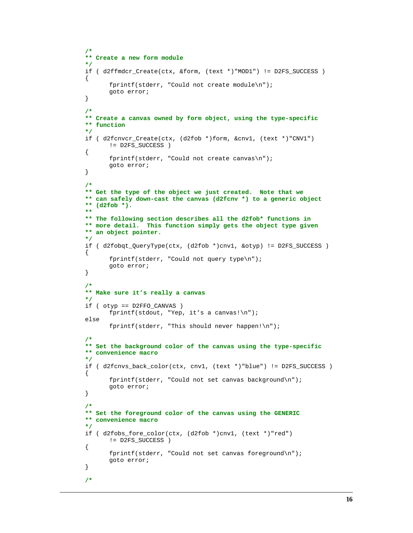```
 /*
 ** Create a new form module
 */
if ( d2ffmdcr Create(ctx, &form, (text *)"MOD1") != D2FS SUCCESS )
 {
        fprintf(stderr, "Could not create module\n");
        goto error;
 }
 /*
 ** Create a canvas owned by form object, using the type-specific
 ** function
 */
if ( d2fcnvcr Create(ctx, (d2fob *)form, &cnv1, (text *)"CNV1")
        != D2FS_SUCCESS )
 {
        fprintf(stderr, "Could not create canvas\n");
        goto error;
 }
 /*
 ** Get the type of the object we just created. Note that we
 ** can safely down-cast the canvas (d2fcnv *) to a generic object
 ** (d2fob *).
 **
 ** The following section describes all the d2fob* functions in
 ** more detail. This function simply gets the object type given
 ** an object pointer.
 */
 if ( d2fobqt_QueryType(ctx, (d2fob *)cnv1, &otyp) != D2FS_SUCCESS )
 {
        fprintf(stderr, "Could not query type\n");
        goto error;
 }
 /*
 ** Make sure it's really a canvas
 */
 if ( otyp == D2FFO_CANVAS )
        fprintf(stdout, "Yep, it's a canvas!\n");
 else
       fprintf(stderr, "This should never happen!\n\cdot");
 /*
 ** Set the background color of the canvas using the type-specific
 ** convenience macro
 */
 if ( d2fcnvs_back_color(ctx, cnv1, (text *)"blue") != D2FS_SUCCESS )
 {
        fprintf(stderr, "Could not set canvas background\n");
        goto error;
 }
 /*
 ** Set the foreground color of the canvas using the GENERIC
 ** convenience macro
 */
 if ( d2fobs_fore_color(ctx, (d2fob *)cnv1, (text *)"red")
        != D2FS_SUCCESS )
 {
        fprintf(stderr, "Could not set canvas foreground\n");
        goto error;
 }
 /*
```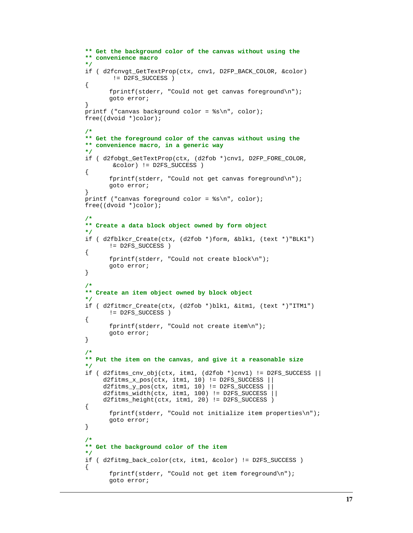```
 ** Get the background color of the canvas without using the
    ** convenience macro
    */
    if ( d2fcnvgt_GetTextProp(ctx, cnv1, D2FP_BACK_COLOR, &color)
            != D2FS_SUCCESS )
    {
           fprintf(stderr, "Could not get canvas foreground\n");
           goto error;
    }
    printf ("canvas background color = %s\n", color);
    free((dvoid *)color);
    /*
    ** Get the foreground color of the canvas without using the
    ** convenience macro, in a generic way
    */
    if ( d2fobgt_GetTextProp(ctx, (d2fob *)cnv1, D2FP_FORE_COLOR,
            &color) != D2FS_SUCCESS )
    {
           fprintf(stderr, "Could not get canvas foreground\n");
           goto error;
    }
   printf ("canvas foreground color = s\n\rangle^n, color);
    free((dvoid *)color);
    /*
    ** Create a data block object owned by form object
    */
    if ( d2fblkcr_Create(ctx, (d2fob *)form, &blk1, (text *)"BLK1")
           != D2FS_SUCCESS )
    {
           fprintf(stderr, "Could not create block\n");
           goto error;
    }
    /*
    ** Create an item object owned by block object
    */
    if ( d2fitmcr_Create(ctx, (d2fob *)blk1, &itm1, (text *)"ITM1")
           != D2FS_SUCCESS )
    {
           fprintf(stderr, "Could not create item\n");
           goto error;
    }
    /*
    ** Put the item on the canvas, and give it a reasonable size
    */
    if ( d2fitms_cnv_obj(ctx, itm1, (d2fob *)cnv1) != D2FS_SUCCESS ||
         d2fitms_x_pos(ctx, itm1, 10) != D2FS_SUCCESS ||
        d2fits_y pos(ctx, itm1, 10) != D2FS_SUCCSSd2fits\_width(ctx, itm1, 100) := D2FS_SUCCES' d2fitms_height(ctx, itm1, 20) != D2FS_SUCCESS )
    {
           fprintf(stderr, "Could not initialize item properties\n");
           goto error;
    }
 /*
    ** Get the background color of the item
    */
    if ( d2fitmg_back_color(ctx, itm1, &color) != D2FS_SUCCESS )
    {
           fprintf(stderr, "Could not get item foreground\n");
           goto error;
```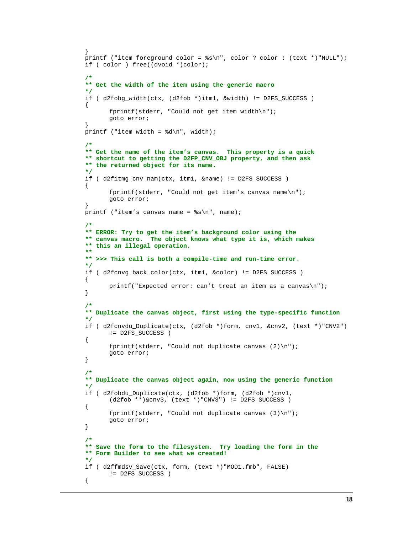```
 }
    printf ("item foreground color = %s\n", color ? color : (text *)"NULL");
    if ( color ) free((dvoid *)color);
 /*
    ** Get the width of the item using the generic macro
    */
    if ( d2fobg_width(ctx, (d2fob *)itm1, &width) != D2FS_SUCCESS )
    {
           fprintf(stderr, "Could not get item width\n");
           goto error;
    }
   printf ("item width = d\n\alpha", width);
    /*
    ** Get the name of the item's canvas. This property is a quick
    ** shortcut to getting the D2FP_CNV_OBJ property, and then ask
    ** the returned object for its name.
    */
    if ( d2fitmg_cnv_nam(ctx, itm1, &name) != D2FS_SUCCESS )
    {
           fprintf(stderr, "Could not get item's canvas name\n");
           goto error;
    }
   printf ("item's canvas name = s\n\n\pi, name);
 /*
    ** ERROR: Try to get the item's background color using the
    ** canvas macro. The object knows what type it is, which makes
    ** this an illegal operation.
    **
    ** >>> This call is both a compile-time and run-time error.
    */
    if ( d2fcnvg_back_color(ctx, itm1, &color) != D2FS_SUCCESS )
    {
           printf("Expected error: can't treat an item as a canvas\n");
    }
    /*
    ** Duplicate the canvas object, first using the type-specific function
    */
    if ( d2fcnvdu_Duplicate(ctx, (d2fob *)form, cnv1, &cnv2, (text *)"CNV2")
           != D2FS_SUCCESS )
    {
          fprintf(stderr, "Could not duplicate canvas (2)\n\pi");
           goto error;
    }
 /*
    ** Duplicate the canvas object again, now using the generic function
    */
    if ( d2fobdu_Duplicate(ctx, (d2fob *)form, (d2fob *)cnv1,
          (d2fob **)\&env3, (text * )"CNV3") != D2FS_SUCCES) {
           fprintf(stderr, "Could not duplicate canvas (3)\n");
           goto error;
    }
    /*
    ** Save the form to the filesystem. Try loading the form in the
    ** Form Builder to see what we created!
    */
    if ( d2ffmdsv_Save(ctx, form, (text *)"MOD1.fmb", FALSE)
           != D2FS_SUCCESS )
    {
```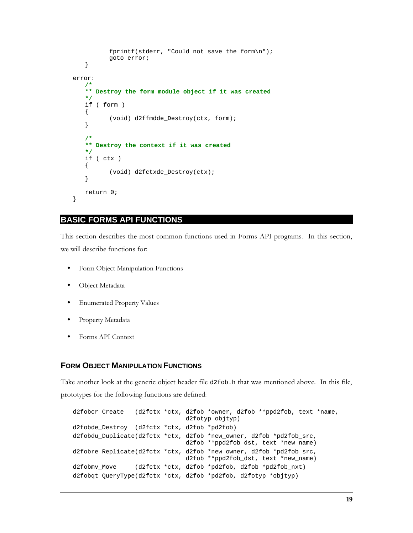```
 fprintf(stderr, "Could not save the form\n");
            goto error;
    }
error:
 /*
    ** Destroy the form module object if it was created
    */
    if ( form )
    {
            (void) d2ffmdde_Destroy(ctx, form);
    }
    /*
    ** Destroy the context if it was created
    */
    if ( ctx )
    {
            (void) d2fctxde_Destroy(ctx);
    }
    return 0;
}
```
# **BASIC FORMS API FUNCTIONS**

This section describes the most common functions used in Forms API programs. In this section, we will describe functions for:

- Form Object Manipulation Functions
- Object Metadata
- Enumerated Property Values
- Property Metadata
- Forms API Context

# **FORM OBJECT MANIPULATION FUNCTIONS**

Take another look at the generic object header file d2fob.h that was mentioned above. In this file, prototypes for the following functions are defined:

```
d2fobcr_Create (d2fctx *ctx, d2fob *owner, d2fob **ppd2fob, text *name,
                                d2fotyp objtyp)
d2fobde_Destroy (d2fctx *ctx, d2fob *pd2fob)
d2fobdu_Duplicate(d2fctx *ctx, d2fob *new_owner, d2fob *pd2fob_src,
                                d2fob **ppd2fob_dst, text *new_name)
d2fobre_Replicate(d2fctx *ctx, d2fob *new_owner, d2fob *pd2fob_src,
                                d2fob **ppd2fob_dst, text *new_name)
d2fobmv_Move (d2fctx *ctx, d2fob *pd2fob, d2fob *pd2fob_nxt)
d2fobqt_QueryType(d2fctx *ctx, d2fob *pd2fob, d2fotyp *objtyp)
```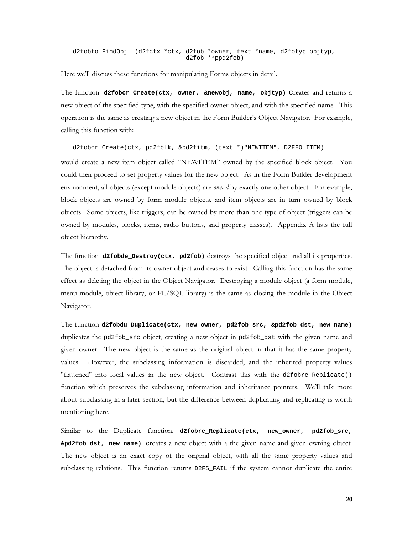d2fobfo\_FindObj (d2fctx \*ctx, d2fob \*owner, text \*name, d2fotyp objtyp, d2fob \*\*ppd2fob)

Here we'll discuss these functions for manipulating Forms objects in detail.

The function d2fobcr\_Create(ctx, owner, &newobj, name, objtyp) Creates and returns a new object of the specified type, with the specified owner object, and with the specified name. This operation is the same as creating a new object in the Form Builder's Object Navigator. For example, calling this function with:

d2fobcr\_Create(ctx, pd2fblk, &pd2fitm, (text \*) "NEWITEM", D2FFO\_ITEM)

would create a new item object called "NEWITEM" owned by the specified block object. You could then proceed to set property values for the new object. As in the Form Builder development environment, all objects (except module objects) are *owned* by exactly one other object. For example, block objects are owned by form module objects, and item objects are in turn owned by block objects. Some objects, like triggers, can be owned by more than one type of object (triggers can be owned by modules, blocks, items, radio buttons, and property classes). Appendix A lists the full object hierarchy.

The function d2fobde\_Destroy(ctx, pd2fob) destroys the specified object and all its properties. The object is detached from its owner object and ceases to exist. Calling this function has the same effect as deleting the object in the Object Navigator. Destroying a module object (a form module, menu module, object library, or PL/SQL library) is the same as closing the module in the Object Navigator.

The function d2fobdu\_Duplicate(ctx, new\_owner, pd2fob\_src, &pd2fob\_dst, new\_name) duplicates the pd2fob\_src object, creating a new object in pd2fob\_dst with the given name and given owner. The new object is the same as the original object in that it has the same property values. However, the subclassing information is discarded, and the inherited property values "flattened" into local values in the new object. Contrast this with the d2fobre\_Replicate() function which preserves the subclassing information and inheritance pointers. We'll talk more about subclassing in a later section, but the difference between duplicating and replicating is worth mentioning here.

Similar to the Duplicate function, d2fobre\_Replicate(ctx, new\_owner, pd2fob\_src, **&pd2fob\_dst, new\_name)** creates a new object with a the given name and given owning object. The new object is an exact copy of the original object, with all the same property values and subclassing relations. This function returns D2FS\_FAIL if the system cannot duplicate the entire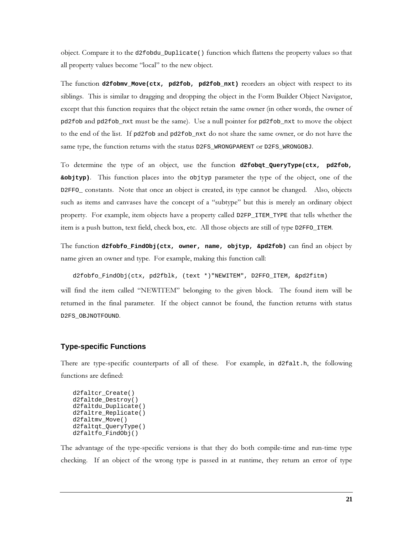object. Compare it to the d2f obdu\_Duplicate () function which flattens the property values so that all property values become "local" to the new object.

The function d2fobmv\_Move(ctx, pd2fob, pd2fob\_nxt) reorders an object with respect to its siblings. This is similar to dragging and dropping the object in the Form Builder Object Navigator, except that this function requires that the object retain the same owner (in other words, the owner of pd2fob and pd2fob\_nxt must be the same). Use a null pointer for pd2fob\_nxt to move the object to the end of the list. If pd2fob and pd2fob\_nxt do not share the same owner, or do not have the same type, the function returns with the status D2FS\_WRONGPARENT or D2FS\_WRONGOBJ.

To determine the type of an object, use the function d2fobqt\_QueryType(ctx, pd2fob, sobjtyp). This function places into the objtyp parameter the type of the object, one of the D2FF0\_constants. Note that once an object is created, its type cannot be changed. Also, objects such as items and canvases have the concept of a "subtype" but this is merely an ordinary object property. For example, item objects have a property called D2FP\_ITEM\_TYPE that tells whether the item is a push button, text field, check box, etc. All those objects are still of type D2FFO\_ITEM.

The function d2fobfo\_FindObj(ctx, owner, name, objtyp, &pd2fob) can find an object by name given an owner and type. For example, making this function call:

d2fobfo\_FindObj(ctx, pd2fblk, (text \*)"NEWITEM", D2FFO\_ITEM, &pd2fitm)

will find the item called "NEWITEM" belonging to the given block. The found item will be returned in the final parameter. If the object cannot be found, the function returns with status D2FS\_OBJNOTFOUND.

#### **Type-specific Functions**

There are type-specific counterparts of all of these. For example, in d2falt.h, the following functions are defined:

```
d2faltcr Create()
d2faltde_Destroy()
d2faltdu_Duplicate()
d2faltre_Replicate()
d2faltmv_Move()
d2faltqt_QueryType()
d2faltfo_FindObj()
```
The advantage of the type-specific versions is that they do both compile-time and run-time type checking. If an object of the wrong type is passed in at runtime, they return an error of type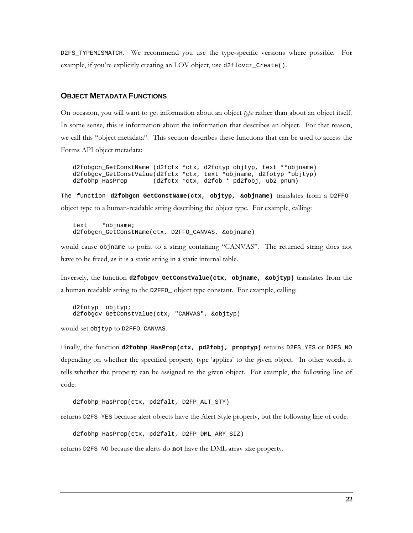D2FS\_TYPEMISMATCH. We recommend you use the type-specific versions where possible. For example, if you're explicitly creating an LOV object, use d2flovcr\_Create().

#### **OBJECT METADATA FUNCTIONS**

On occasion, you will want to get information about an object type rather than about an object itself. In some sense, this is information about the information that describes an object. For that reason, we call this "object metadata". This section describes these functions that can be used to access the Forms API object metadata:

d2fobgcn\_GetConstName (d2fctx \*ctx, d2fotyp objtyp, text \*\*objname) d2fobgcv\_GetConstValue(d2fctx \*ctx, text \*objname, d2fotyp \*objtyp)<br>d2fobhp\_HasProp (d2fctx \*ctx, d2fob \* pd2fobj, ub2 pnum)

The function d2fobgcn\_GetConstName(ctx, objtyp, &objname) translates from a D2FFO\_ object type to a human-readable string describing the object type. For example, calling:

text \*objname; d2fobgcn\_GetConstName(ctx, D2FFO\_CANVAS, &objname)

would cause objname to point to a string containing "CANVAS". The returned string does not have to be freed, as it is a static string in a static internal table.

Inversely, the function d2fobgcv\_GetConstValue(ctx, objname, &objtyp) translates from the a human readable string to the D2FF0\_ object type constant. For example, calling:

```
d2fotyp objtyp;
d2fobgcv_GetConstValue(ctx, "CANVAS", &objtyp)
```
would set objtyp to D2FFO\_CANVAS.

Finally, the function d2fobhp\_HasProp(ctx, pd2fobj, proptyp) returns D2FS\_YES or D2FS\_NO depending on whether the specified property type 'applies' to the given object. In other words, it tells whether the property can be assigned to the given object. For example, the following line of code:

```
d2fobhp_HasProp(ctx, pd2falt, D2FP_ALT_STY)
```
returns D2FS\_YES because alert objects have the Alert Style property, but the following line of code:

```
d2fobhp_HasProp(ctx, pd2falt, D2FP_DML_ARY_SIZ)
```
returns D2FS\_NO because the alerts do not have the DML array size property.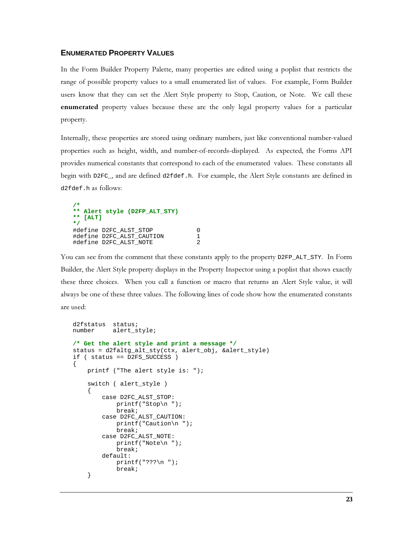## **ENUMERATED PROPERTY VALUES**

In the Form Builder Property Palette, many properties are edited using a poplist that restricts the range of possible property values to a small enumerated list of values. For example, Form Builder users know that they can set the Alert Style property to Stop, Caution, or Note. We call these enumerated property values because these are the only legal property values for a particular property.

Internally, these properties are stored using ordinary numbers, just like conventional number-valued properties such as height, width, and number-of-records-displayed. As expected, the Forms API provides numerical constants that correspond to each of the enumerated values. These constants all begin with D2FC, and are defined d2fdef.h. For example, the Alert Style constants are defined in d2fdef.h as follows:

```
** Alert style (D2FP ALT STY)
** [ALT]\star /
#define D2FC_ALST_STOP
#define D2FC ALST CAUTION
#define D2FC_ALST_NOTE
```
You can see from the comment that these constants apply to the property D2FP\_ALT\_STY. In Form Builder, the Alert Style property displays in the Property Inspector using a poplist that shows exactly these three choices. When you call a function or macro that returns an Alert Style value, it will always be one of these three values. The following lines of code show how the enumerated constants are used:

 $\mathbf 0$ 

 $\mathbf 1$ 

 $\mathcal{L}$ 

```
d2fstatus status;
number
           alert_style;
/* Get the alert style and print a message */
status = d2faltg_alt_sty(ctx, alert_obj, &alert_style)
if ( status == D2FS SUCCESS )
\{printf ("The alert style is: ");
    switch ( alert_style )
        case D2FC_ALST_STOP:
           printf("Stop\n", ");break;
        case D2FC_ALST_CAUTION:
            printf("Caution\n', ");break;
        case D2FC_ALST_NOTE:
            printf("Note\n", "break;default:
            printf("??? \n^n);break;
    \mathcal{E}
```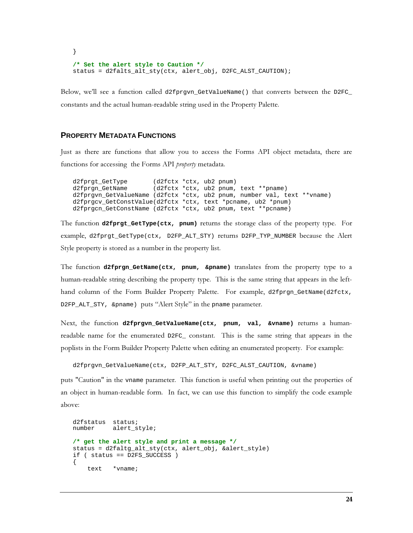```
}
/* Set the alert style to Caution */
status = d2falts_alt_sty(ctx, alert_obj, D2FC_ALST_CAUTION);
```
Below, we'll see a function called d2fprgvn\_GetValueName() that converts between the D2FC\_ constants and the actual human-readable string used in the Property Palette.

#### **PROPERTY METADATA FUNCTIONS**

Just as there are functions that allow you to access the Forms API object metadata, there are functions for accessing the Forms API *property* metadata.

d2fprgt\_GetType (d2fctx \*ctx, ub2 pnum) d2fprgn\_GetName (d2fctx \*ctx, ub2 pnum, text \*\*pname) d2fprgvn\_GetValueName (d2fctx \*ctx, ub2 pnum, number val, text \*\*vname) d2fprgcv\_GetConstValue(d2fctx \*ctx, text \*pcname, ub2 \*pnum) d2fprgcn\_GetConstName (d2fctx \*ctx, ub2 pnum, text \*\*pcname)

The function **d2fprgt\_GetType(ctx, pnum)** returns the storage class of the property type. For example, d2fprgt\_GetType(ctx, D2FP\_ALT\_STY) returns D2FP\_TYP\_NUMBER because the Alert Style property is stored as a number in the property list.

The function **d2fprgn\_GetName(ctx, pnum, &pname)** translates from the property type to a human-readable string describing the property type. This is the same string that appears in the lefthand column of the Form Builder Property Palette. For example, d2fprgn\_GetName(d2fctx, D2FP\_ALT\_STY, &pname) puts "Alert Style" in the pname parameter.

Next, the function d2fprgvn\_GetValueName(ctx, pnum, val, &vname) returns a humanreadable name for the enumerated  $D2FC$  constant. This is the same string that appears in the poplists in the Form Builder Property Palette when editing an enumerated property. For example:

d2fprgvn\_GetValueName(ctx, D2FP\_ALT\_STY, D2FC\_ALST\_CAUTION, &vname)

puts "Caution" in the vname parameter. This function is useful when printing out the properties of an object in human-readable form. In fact, we can use this function to simplify the code example above:

```
d2fstatus status;
number alert_style;
/* get the alert style and print a message */
status = d2faltg_alt_sty(ctx, alert_obj, &alert_style)
if ( status == D2FS_SUCCESS )
{
     text *vname;
```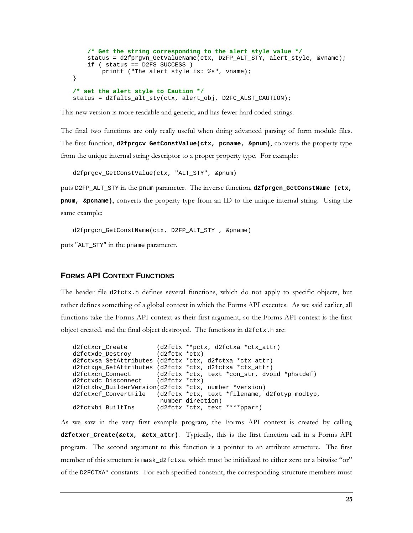```
 /* Get the string corresponding to the alert style value */
     status = d2fprgvn_GetValueName(ctx, D2FP_ALT_STY, alert_style, &vname);
     if ( status == D2FS_SUCCESS )
         printf ("The alert style is: %s", vname);
}
/* set the alert style to Caution */
status = d2falts_alt_sty(ctx, alert_obj, D2FC_ALST_CAUTION);
```
This new version is more readable and generic, and has fewer hard coded strings.

The final two functions are only really useful when doing advanced parsing of form module files. The first function, d2fprgcv\_GetConstValue(ctx, pcname, &pnum), converts the property type from the unique internal string descriptor to a proper property type. For example:

```
d2fprgcv_GetConstValue(ctx, "ALT_STY", &pnum)
```
puts D2FP\_ALT\_STY in the pnum parameter. The inverse function, **d2fprgcn\_GetConstName (ctx, pnum, &pcname)**, converts the property type from an ID to the unique internal string. Using the same example:

d2fprgcn\_GetConstName(ctx, D2FP\_ALT\_STY , &pname)

puts "ALT\_STY" in the pname parameter.

#### **FORMS API CONTEXT FUNCTIONS**

The header file d2fctx.h defines several functions, which do not apply to specific objects, but rather defines something of a global context in which the Forms API executes. As we said earlier, all functions take the Forms API context as their first argument, so the Forms API context is the first object created, and the final object destroyed. The functions in d2fctx.h are:

```
d2fctxcr_Create (d2fctx **pctx, d2fctxa *ctx_attr)
d2fctxde_Destroy (d2fctx *ctx)
d2fctxsa_SetAttributes (d2fctx *ctx, d2fctxa *ctx_attr)
d2fctxga_GetAttributes (d2fctx *ctx, d2fctxa *ctx_attr)
d2fctxcn_Connect (d2fctx *ctx, text *con_str, dvoid *phstdef)
d2fctxdc_Disconnect (d2fctx *ctx)
d2fctxbv_BuilderVersion(d2fctx *ctx, number *version)
d2fctxcf_ConvertFile (d2fctx *ctx, text *filename, d2fotyp modtyp,
number direction)<br>d2fctxbi_BuiltIns (d2fctx *ctx, text
                      (d2fctx *ctx, text ****pparr)
```
As we saw in the very first example program, the Forms API context is created by calling **d2fctxcr\_Create(&ctx, &ctx\_attr)**. Typically, this is the first function call in a Forms API program. The second argument to this function is a pointer to an attribute structure. The first member of this structure is mask\_d2fctxa, which must be initialized to either zero or a bitwise "or" of the D2FCTXA\* constants. For each specified constant, the corresponding structure members must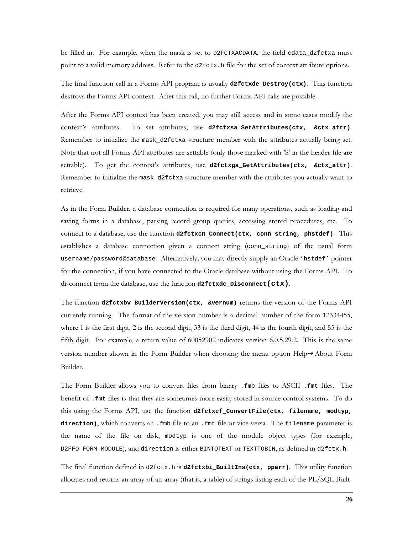be filled in. For example, when the mask is set to D2FCTXACDATA, the field cdata\_d2fctxa must point to a valid memory address. Refer to the d2fctx. h file for the set of context attribute options.

The final function call in a Forms API program is usually  $d2fctxde_Destroy(ctx)$ . This function destroys the Forms API context. After this call, no further Forms API calls are possible.

After the Forms API context has been created, you may still access and in some cases modify the To set attributes, use d2fctxsa\_SetAttributes(ctx, &ctx\_attr). context's attributes. Remember to initialize the mask\_d2fctxa structure member with the attributes actually being set. Note that not all Forms API attributes are settable (only those marked with 'S' in the header file are settable). To get the context's attributes, use d2fctxga\_GetAttributes(ctx, &ctx\_attr). Remember to initialize the mask\_d2fctxa structure member with the attributes you actually want to retrieve.

As in the Form Builder, a database connection is required for many operations, such as loading and saving forms in a database, parsing record group queries, accessing stored procedures, etc. To connect to a database, use the function d2fetxcn\_Connect(ctx, conn\_string, phstdef). This establishes a database connection given a connect string (conn\_string) of the usual form username/password@database. Alternatively, you may directly supply an Oracle 'hstdef' pointer for the connection, if you have connected to the Oracle database without using the Forms API. To disconnect from the database, use the function d2fetxdc\_Disconnect (Ctx).

The function d2fctxbv\_BuilderVersion(ctx, &vernum) returns the version of the Forms API currently running. The format of the version number is a decimal number of the form 12334455, where 1 is the first digit, 2 is the second digit, 33 is the third digit, 44 is the fourth digit, and 55 is the fifth digit. For example, a return value of 60052902 indicates version 6.0.5.29.2. This is the same version number shown in the Form Builder when choosing the menu option Help $\rightarrow$ About Form Builder.

The Form Builder allows you to convert files from binary . fmb files to ASCII . fmt files. The benefit of . fmt files is that they are sometimes more easily stored in source control systems. To do this using the Forms API, use the function d2fctxcf\_ConvertFile(ctx, filename, modtyp, direction), which converts an . fmb file to an . fmt file or vice-versa. The filename parameter is the name of the file on disk, modtyp is one of the module object types (for example, D2FFO\_FORM\_MODULE), and direction is either BINTOTEXT or TEXTTOBIN, as defined in d2fctx.h.

The final function defined in  $d2f$ ctx. h is  $d2f$ ctxbi\_BuiltIns(ctx, pparr). This utility function allocates and returns an array-of-an-array (that is, a table) of strings listing each of the PL/SQL Built-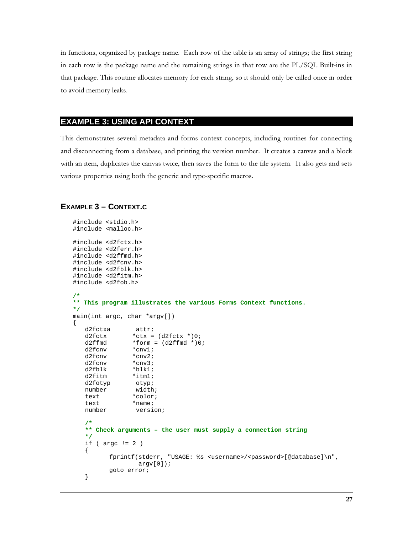in functions, organized by package name. Each row of the table is an array of strings; the first string in each row is the package name and the remaining strings in that row are the PL/SQL Built-ins in that package. This routine allocates memory for each string, so it should only be called once in order to avoid memory leaks.

# **EXAMPLE 3: USING API CONTEXT**

This demonstrates several metadata and forms context concepts, including routines for connecting and disconnecting from a database, and printing the version number. It creates a canvas and a block with an item, duplicates the canvas twice, then saves the form to the file system. It also gets and sets various properties using both the generic and type-specific macros.

#### **EXAMPLE 3 - CONTEXT.C**

```
#include <stdio.h>
#include <malloc.h>
#include <d2fctx.h>
#include <d2ferr.h>
#include <d2ffmd.h>
#include <d2fcnv.h>
#include <d2fblk.h>
#include <d2fitm.h>
#include <d2fob.h>
/*
** This program illustrates the various Forms Context functions.
\star /
main(int argc, char *argv[])
\{d2fctxa
                 attr;
                *ctx = (d2fctx * )0;d2fctxd2ffmd
                *form = (d2ffmd * )0;d2fcnv
                *cnv1;
   d2fcnv
                *cnv2;
   d2fcnv
                 *cnv3;
   d2fblk
                 *blk1;
   d2fitm
                 *itml;
   d2fotyp
                 otyp;
                 width;
   number
   text
                 *color;
   text
                 *name;
   number
                 version;
   /*
   ** Check arguments - the user must supply a connection string
   \star /
   if (\arg c := 2)\{fprintf(stderr, "USAGE: %s <username>/<password>[@database]\n",
                  \arctan[0];
          goto error;
   \}
```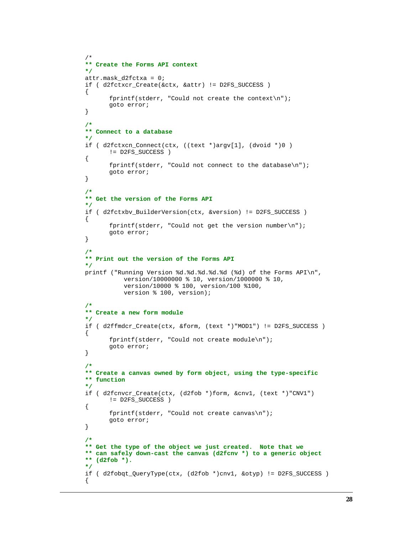```
/*
** Create the Forms API context
*/
attr.mask_d2fctxa = 0;
if ( d2fctxcr_Create(&ctx, &attr) != D2FS_SUCCESS )
{
       fprintf(stderr, "Could not create the context\n");
       goto error;
}
/*
** Connect to a database
*/
if ( d2fctxcn_Connect(ctx, ((text *)argv[1], (dvoid *)0 )
       != D2FS_SUCCESS )
{
      fprintf(stderr, "Could not connect to the database\n");
       goto error;
}
/*
** Get the version of the Forms API
*/
if ( d2fctxbv_BuilderVersion(ctx, &version) != D2FS_SUCCESS )
{
       fprintf(stderr, "Could not get the version number\n");
       goto error;
}
/*
** Print out the version of the Forms API
*/
printf ("Running Version %d.%d.%d.%d.%d (%d) of the Forms API\n",
            version/10000000 % 10, version/1000000 % 10,
            version/10000 % 100, version/100 %100,
            version % 100, version);
/*
** Create a new form module
*/
if ( d2ffmdcr_Create(ctx, &form, (text *)"MOD1") != D2FS_SUCCESS )
{
       fprintf(stderr, "Could not create module\n");
       goto error;
}
/*
** Create a canvas owned by form object, using the type-specific
** function
*/
if ( d2fcnvcr_Create(ctx, (d2fob *)form, &cnv1, (text *)"CNV1")
       != D2FS_SUCCESS )
{
       fprintf(stderr, "Could not create canvas\n");
       goto error;
}
/*
** Get the type of the object we just created. Note that we
** can safely down-cast the canvas (d2fcnv *) to a generic object
** (d2fob *).
*/
if ( d2fobqt_QueryType(ctx, (d2fob *)cnv1, &otyp) != D2FS_SUCCESS )
{
```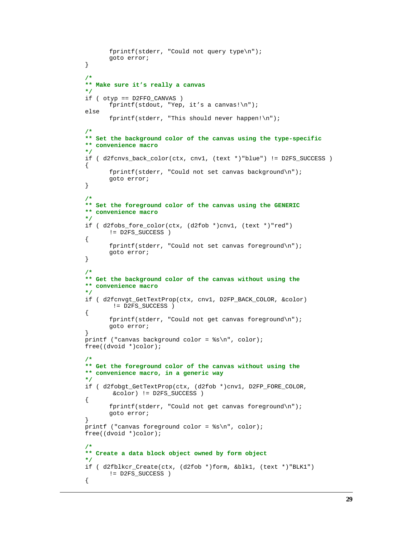```
fprintf(stderr, "Could not query type\n");
       goto error;
}
/*
** Make sure it's really a canvas
*/
if ( otyp == D2FFO_CANVAS )
       fprintf(stdout, "Yep, it's a canvas!\n");
else
       fprintf(stderr, "This should never happen!\n\cdoti");
/*
** Set the background color of the canvas using the type-specific
** convenience macro
*/
if ( d2fcnvs_back_color(ctx, cnv1, (text *)"blue") != D2FS_SUCCESS )
{
       fprintf(stderr, "Could not set canvas background\n");
       goto error;
}
/*
** Set the foreground color of the canvas using the GENERIC
** convenience macro
*/
if ( d2fobs_fore_color(ctx, (d2fob *)cnv1, (text *)"red")
       != D2FS_SUCCESS )
{
       fprintf(stderr, "Could not set canvas foreground\n");
      goto error;
}
/*
** Get the background color of the canvas without using the
** convenience macro
*/
if ( d2fcnvgt_GetTextProp(ctx, cnv1, D2FP_BACK_COLOR, &color)
        != D2FS_SUCCESS )
{
       fprintf(stderr, "Could not get canvas foreground\n\times");
       goto error;
}
printf ("canvas background color = %s\n", color);
free((dvoid *)color);
/*
** Get the foreground color of the canvas without using the
** convenience macro, in a generic way
*/
if ( d2fobgt_GetTextProp(ctx, (d2fob *)cnv1, D2FP_FORE_COLOR,
         &color) != D2FS_SUCCESS )
{
       fprintf(stderr, "Could not get canvas foreground\n");
       goto error;
}
printf ("canvas foreground color = s\ n", color);
free((dvoid *)color);
/*
** Create a data block object owned by form object
*/
if ( d2fblkcr_Create(ctx, (d2fob *)form, &blk1, (text *)"BLK1")
       != D2FS_SUCCESS )
{
```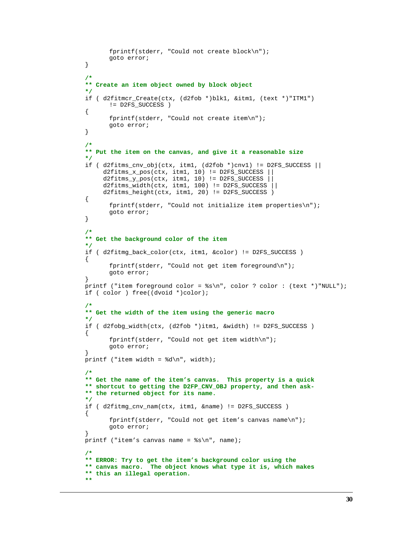```
fprintf(stderr, "Could not create block\n");
      goto error;
}
/*
** Create an item object owned by block object
*/
if ( d2fitmcr_Create(ctx, (d2fob *)blk1, &itm1, (text *)"ITM1")
      != D2FS_SUCCESS )
{
      fprintf(stderr, "Could not create item\n");
      goto error;
}
/*
** Put the item on the canvas, and give it a reasonable size
*/
if ( d2fitms cnv obj(ctx, itm1, (d2fob *)cnv1) != D2FS SUCCESS || d2fitms_x_pos(ctx, itm1, 10) != D2FS_SUCCESS ||
     d2fits_y pos(ctx, itm1, 10) != D2FS_SUCCSSd2fits\_width(ctx, itm1, 100) != D2FS_SUCCES ||
      d2fitms_height(ctx, itm1, 20) != D2FS_SUCCESS )
{
      fprintf(stderr, "Could not initialize item properties\n");
      goto error;
}
/*
** Get the background color of the item
*/
if ( d2fitmg_back_color(ctx, itm1, &color) != D2FS_SUCCESS )
{
      fprintf(stderr, "Could not get item foreground\n");
      goto error;
}
printf ("item foreground color = s\ \nmin, color ? color : (text *)"NULL");
if ( color ) free((dvoid *)color);
/*
** Get the width of the item using the generic macro
*/
if ( d2fobg_width(ctx, (d2fob *)itm1, &width) != D2FS_SUCCESS )
{
      fprintf(stderr, "Could not get item width\n");
      goto error;
}
printf ("item width = d\n\alpha", width);
/*
** Get the name of the item's canvas. This property is a quick
** shortcut to getting the D2FP_CNV_OBJ property, and then ask-
** the returned object for its name.
*/
if ( d2fitmg_cnv_nam(ctx, itm1, &name) != D2FS_SUCCESS )
{
      fprintf(stderr, "Could not get item's canvas name\n");
      goto error;
}
printf ("item's canvas name = s\n\n\in", name);
/*
** ERROR: Try to get the item's background color using the
** canvas macro. The object knows what type it is, which makes
** this an illegal operation.
**
```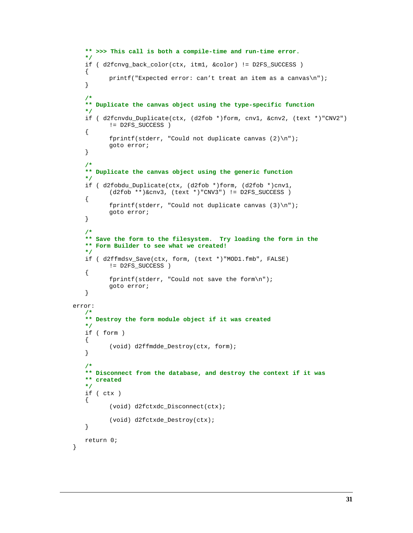```
** >>> This call is both a compile-time and run-time error.
   */
   if ( d2fcnvg_back_color(ctx, itm1, &color) != D2FS_SUCCESS )
   {
          printf("Expected error: can't treat an item as a canvas\n");
   }
   /*
   ** Duplicate the canvas object using the type-specific function
   */
   if ( d2fcnvdu_Duplicate(ctx, (d2fob *)form, cnv1, &cnv2, (text *)"CNV2")
          != D2FS_SUCCESS )
   {
          fprintf(stderr, "Could not duplicate canvas (2)\n\pi");
          goto error;
   }
   /*
   ** Duplicate the canvas object using the generic function
   */
   if ( d2fobdu_Duplicate(ctx, (d2fob *)form, (d2fob *)cnv1,
          (d2fob **)\&env3, (text *)*CNV3") != D2FS_SUCCES){
          fprintf(stderr, "Could not duplicate canvas (3)\n");
          goto error;
   }
   /*
   ** Save the form to the filesystem. Try loading the form in the
   ** Form Builder to see what we created!
   */
   if ( d2ffmdsv_Save(ctx, form, (text *)"MOD1.fmb", FALSE)
          != D2FS_SUCCESS )
   {
          fprintf(stderr, "Could not save the form\n");
          goto error;
   }
error:
   /*
   ** Destroy the form module object if it was created
   */
   if ( form )
   {
          (void) d2ffmdde_Destroy(ctx, form);
   }
   /*
   ** Disconnect from the database, and destroy the context if it was
   ** created
   */
   if ( ctx )
   {
          (void) d2fctxdc_Disconnect(ctx);
          (void) d2fctxde_Destroy(ctx);
   }
   return 0;
```
}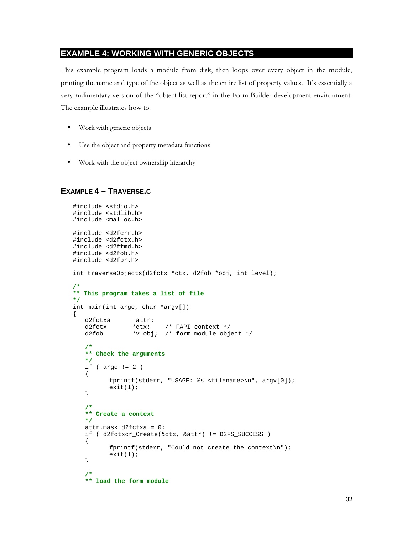## **EXAMPLE 4: WORKING WITH GENERIC OBJECTS**

This example program loads a module from disk, then loops over every object in the module, printing the name and type of the object as well as the entire list of property values. It's essentially a Very rudimentary version of the "object list report" in the Form Builder development environment. The example illustrates how to:

- Work with generic objects
- Use the object and property metadata functions
- Work with the object ownership hierarchy

# **EXAMPLE 4 – TRAVERSE.C**

```
#include <stdio.h>
#include <stdlib.h>
#include <malloc.h>
#include <d2ferr.h>
#include <d2fctx.h>
#include <d2ffmd.h>
#include <d2fob.h>
#include <d2fpr.h>
int traverseObjects(d2fctx *ctx, d2fob *obj, int level);
/*
** This program takes a list of file
*/
int main(int argc, char *argv[])
{
   d2fctxa attr;<br>d2fctx *ctx;
                 *ctx; /* FAPI context */ d2fob *v_obj; /* form module object */
    /*
    ** Check the arguments
    */
   if ( \arg c != 2 )
    {
           fprintf(stderr, "USAGE: %s <filename>\n", argv[0]);
          exit(1); }
    /*
    ** Create a context
    */
    attr.mask_d2fctxa = 0;
    if ( d2fctxcr_Create(&ctx, &attr) != D2FS_SUCCESS )
    {
           fprintf(stderr, "Could not create the context\n");
          exit(1); }
 /*
    ** load the form module
```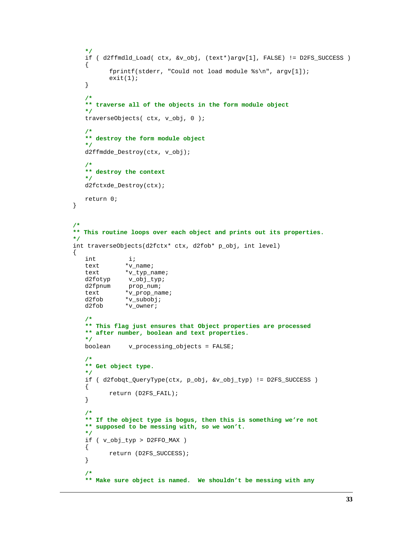```
 */
    if ( d2ffmdld_Load( ctx, &v_obj, (text*)argv[1], FALSE) != D2FS_SUCCESS )
    {
           fprintf(stderr, "Could not load module %s\n", argv[1]);
          exit(1); }
    /*
    ** traverse all of the objects in the form module object
    */
    traverseObjects( ctx, v_obj, 0 );
    /*
    ** destroy the form module object
    */
    d2ffmdde_Destroy(ctx, v_obj);
    /*
    ** destroy the context
    */
    d2fctxde_Destroy(ctx);
    return 0;
/*
** This routine loops over each object and prints out its properties.
*/
int traverseObjects(d2fctx* ctx, d2fob* p_obj, int level)
{
    int i;
   text *_{V\_name};
   text *v_typ_name;<br>d2fotyp v_obj_typ;
   d2fotyp v_obj_typ;<br>d2fpnum prop_num;
               prop_num;
   text *v_prop_name;<br>d2fob *v_subobj;
               *v_subobj;
    d2fob *v_owner;
    /*
    ** This flag just ensures that Object properties are processed
    ** after number, boolean and text properties.
    */
    boolean v_processing_objects = FALSE;
    /*
    ** Get object type.
    */
    if ( d2fobqt_QueryType(ctx, p_obj, &v_obj_typ) != D2FS_SUCCESS )
    {
           return (D2FS_FAIL);
    }
    /*
    ** If the object type is bogus, then this is something we're not
    ** supposed to be messing with, so we won't.
    */
    if ( v_obj_typ > D2FFO_MAX )
    {
           return (D2FS_SUCCESS);
    }
    /*
    ** Make sure object is named. We shouldn't be messing with any
```
}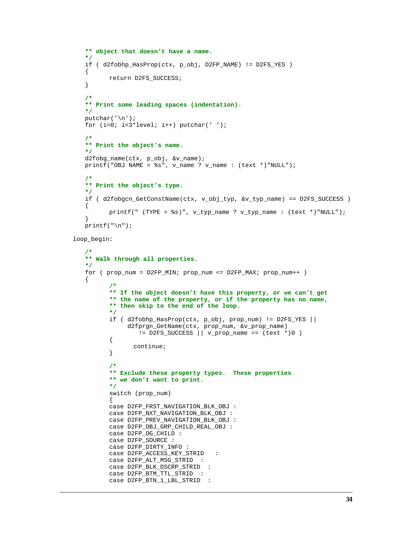```
 ** object that doesn't have a name.
 */
 if ( d2fobhp_HasProp(ctx, p_obj, D2FP_NAME) != D2FS_YES )
 {
        return D2FS_SUCCESS;
 }
 /*
 ** Print some leading spaces (indentation).
 */
 putchar('\n');
 for (i=0; i<3*level; i++) putchar(' ');
 /*
 ** Print the object's name.
 */
 d2fobg_name(ctx, p_obj, &v_name);
printf("OBJ NAME = \frac{1}{8}s", v name ? v name : (text *)"NULL");
 /*
 ** Print the object's type.
 */
 if ( d2fobgcn_GetConstName(ctx, v_obj_typ, &v_typ_name) == D2FS_SUCCESS )
 {
       printf(" (TYPE = \text{\$s\)}", v_typ_name ? v_typ_name : (text *)"NULL");
 }
print(f("\n');
```

```
loop_begin:
```

```
 /*
     ** Walk through all properties.
    */
    for ( prop_num = D2FP_MIN; prop_num <= D2FP_MAX; prop_num++ )
\{ \cdot \cdot \cdot \cdot \cdot \cdot \cdot \cdot \cdot \cdot \cdot \cdot \cdot \cdot \cdot \cdot \cdot \cdot \cdot \cdot \cdot \cdot \cdot \cdot \cdot \cdot \cdot \cdot \cdot \cdot \cdot \cdot \cdot \cdot \cdot \cdot 
             /*
             ** If the object doesn't have this property, or we can't get
             ** the name of the property, or if the property has no name,
             ** then skip to the end of the loop.
             */
             if ( d2fobhp_HasProp(ctx, p_obj, prop_num) != D2FS_YES ||
                   d2fprgn_GetName(ctx, prop_num, &v_prop_name)
                      != D2FS_SUCCESS || v_prop_name == (text *)0 )
             {
                     continue;
             }
             /*
             ** Exclude these property types. These properties
             ** we don't want to print.
             */
             switch (prop_num)
\{ case D2FP_FRST_NAVIGATION_BLK_OBJ :
             case D2FP_NXT_NAVIGATION_BLK_OBJ :
             case D2FP_PREV_NAVIGATION_BLK_OBJ :
             case D2FP_OBJ_GRP_CHILD_REAL_OBJ :
             case D2FP_OG_CHILD :
             case D2FP_SOURCE :
             case D2FP_DIRTY_INFO :
             case D2FP_ACCESS_KEY_STRID :
            case D2FP ALT MSG STRID :
             case D2FP_BLK_DSCRP_STRID :
             case D2FP_BTM_TTL_STRID :
             case D2FP_BTN_1_LBL_STRID :
```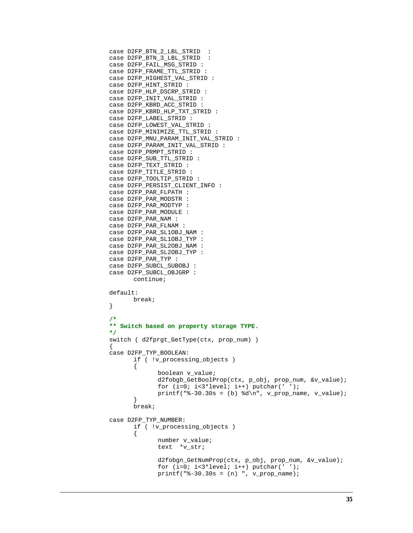```
 case D2FP_BTN_2_LBL_STRID :
          case D2FP_BTN_3_LBL_STRID :
          case D2FP_FAIL_MSG_STRID :
          case D2FP_FRAME_TTL_STRID :
          case D2FP_HIGHEST_VAL_STRID :
          case D2FP_HINT_STRID :
          case D2FP_HLP_DSCRP_STRID :
          case D2FP_INIT_VAL_STRID :
          case D2FP_KBRD_ACC_STRID :
          case D2FP_KBRD_HLP_TXT_STRID :
          case D2FP_LABEL_STRID :
          case D2FP_LOWEST_VAL_STRID :
          case D2FP_MINIMIZE_TTL_STRID :
         case D2FP_MNU_PARAM_INIT_VAL_STRID :
          case D2FP_PARAM_INIT_VAL_STRID :
          case D2FP_PRMPT_STRID :
          case D2FP_SUB_TTL_STRID :
          case D2FP_TEXT_STRID :
          case D2FP_TITLE_STRID :
          case D2FP_TOOLTIP_STRID :
          case D2FP_PERSIST_CLIENT_INFO :
          case D2FP_PAR_FLPATH :
          case D2FP_PAR_MODSTR :
          case D2FP_PAR_MODTYP :
          case D2FP_PAR_MODULE :
          case D2FP_PAR_NAM :
          case D2FP_PAR_FLNAM :
          case D2FP_PAR_SL1OBJ_NAM :
          case D2FP_PAR_SL1OBJ_TYP :
          case D2FP_PAR_SL2OBJ_NAM :
          case D2FP_PAR_SL2OBJ_TYP :
          case D2FP_PAR_TYP :
          case D2FP_SUBCL_SUBOBJ :
          case D2FP_SUBCL_OBJGRP :
                 continue;
          default:
                 break;
 }
          /*
          ** Switch based on property storage TYPE.
 */
          switch ( d2fprgt_GetType(ctx, prop_num) )
\{ case D2FP_TYP_BOOLEAN:
                 if ( !v_processing_objects )
{
                        boolean v_value;
                        d2fobgb_GetBoolProp(ctx, p_obj, prop_num, &v_value);
                       for (i=0; i<3*level; i++) putchar('');
                       printf("%-30.30s = (b) %d\n", v_prop_name, v_value);
 }
                 break;
          case D2FP_TYP_NUMBER:
                 if ( !v_processing_objects )
{
                        number v_value;
                        text *v_str;
                        d2fobgn_GetNumProp(ctx, p_obj, prop_num, &v_value);
                        for (i=0; i<3*level; i++) putchar(' ');
                       printf("8-30.30s = (n) ", v\_prop\_name);
```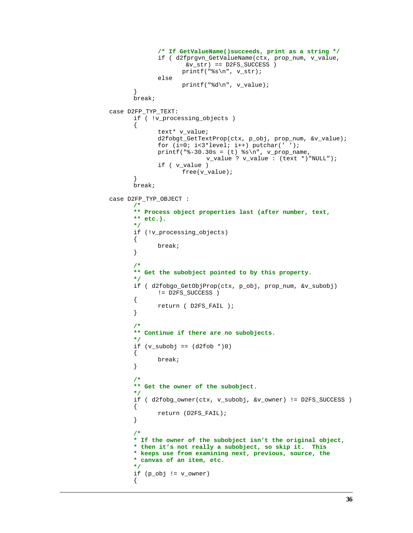```
 /* If GetValueName()succeeds, print as a string */
                    if ( d2fprgvn_GetValueName(ctx, prop_num, v_value,
                         &v_{s}-str == D2FS_SUCCESS )
                         printf("%s\n", v_str);
                    else
             \texttt{printf("d\nu", v_value)}; }
              break;
         case D2FP_TYP_TEXT:
              if ( !v_processing_objects )
\{ text* v_value;
                    d2fobgt_GetTextProp(ctx, p_obj, prop_num, &v_value);
                   for (i=0; i<3*level; i++) putchar('');
                   printf("8-30.30s = (t) % s\n", v\_prop\_name, v_value ? v_value : (text *)"NULL");
                    if ( v_value )
                         free(v_value);
 }
              break;
         case D2FP_TYP_OBJECT :
              /*
              ** Process object properties last (after number, text,
             \frac{**}{*} etc.).
*/
              if (!v_processing_objects)
{
              break;
 }
 /*
              ** Get the subobject pointed to by this property.
*/
              if ( d2fobgo_GetObjProp(ctx, p_obj, prop_num, &v_subobj)
                    != D2FS_SUCCESS )
{
             return ( D2FS_FAIL );<br>}
 }
 /*
              ** Continue if there are no subobjects.
*/
             if (v\_subobj == (d2fob * )0){
              break;
 }
 /*
              ** Get the owner of the subobject.
*/
              if ( d2fobg_owner(ctx, v_subobj, &v_owner) != D2FS_SUCCESS )
{
              return (D2FS_FAIL);
 }
 /*
              * If the owner of the subobject isn't the original object,
              * then it's not really a subobject, so skip it. This
              * keeps use from examining next, previous, source, the
              * canvas of an item, etc.
              */
              if (p_obj != v_owner)
{
```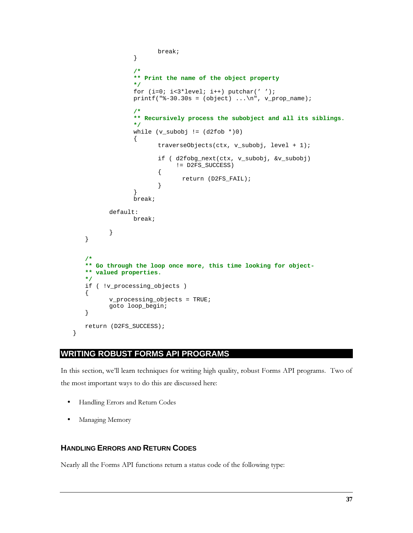```
 break;
 }
 /*
               ** Print the name of the object property
*/
              for (i=0; i<3*level; i++) putchar('');
              printf("8-30.30s = (object) ... \n', v\_prop\_name); /*
               ** Recursively process the subobject and all its siblings.
               */
              while (v\_subobj := (d2fob * )0){
                     traverseObjects(ctx, v_subobj, level + 1);
                     if ( d2fobg_next(ctx, v_subobj, &v_subobj)
                         != D2FS_SUCCESS)
{
                    return (D2FS_FAIL);<br>}
 }
 }
               break;
         default:
               break;
 }
   }
   /*
   ** Go through the loop once more, this time looking for object-
   ** valued properties.
   */
   if ( !v_processing_objects )
   {
         v_processing_objects = TRUE;
         goto loop_begin;
   }
   return (D2FS_SUCCESS);
}
```
# **WRITING ROBUST FORMS API PROGRAMS**

In this section, we'll learn techniques for writing high quality, robust Forms API programs. Two of the most important ways to do this are discussed here:

- Handling Errors and Return Codes
- Managing Memory

# **HANDLING ERRORS AND RETURN CODES**

Nearly all the Forms API functions return a status code of the following type: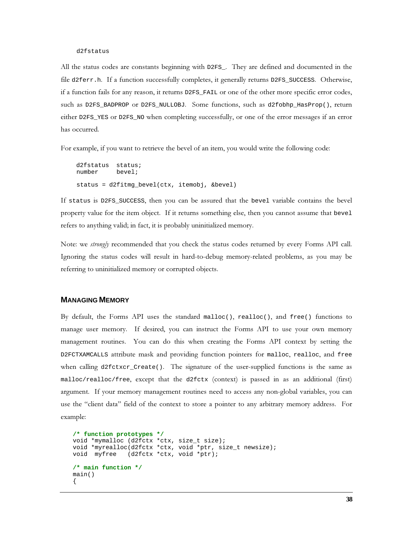#### $d2fstatus$

All the status codes are constants beginning with D2FS\_. They are defined and documented in the file d2ferr.h. If a function successfully completes, it generally returns D2FS\_SUCCESS. Otherwise, if a function fails for any reason, it returns D2FS\_FAIL or one of the other more specific error codes, such as D2FS\_BADPROP or D2FS\_NULLOBJ. Some functions, such as d2fobhp\_HasProp(), return either D2FS\_YES or D2FS\_NO when completing successfully, or one of the error messages if an error has occurred.

For example, if you want to retrieve the bevel of an item, you would write the following code:

```
d2fstatus status;
number
           hevel :status = d2fitmg_bevel(ctx, itemobj, &bevel)
```
If status is D2FS\_SUCCESS, then you can be assured that the bevel variable contains the bevel property value for the item object. If it returns something else, then you cannot assume that bevel refers to anything valid; in fact, it is probably uninitialized memory.

Note: we strongly recommended that you check the status codes returned by every Forms API call. Ignoring the status codes will result in hard-to-debug memory-related problems, as you may be referring to uninitialized memory or corrupted objects.

#### **MANAGING MEMORY**

By default, the Forms API uses the standard malloc(), realloc(), and free() functions to manage user memory. If desired, you can instruct the Forms API to use your own memory management routines. You can do this when creating the Forms API context by setting the D2FCTXAMCALLS attribute mask and providing function pointers for malloc, realloc, and free when calling d2fctxcr\_Create(). The signature of the user-supplied functions is the same as malloc/realloc/free, except that the d2fctx (context) is passed in as an additional (first) argument. If your memory management routines need to access any non-global variables, you can use the "client data" field of the context to store a pointer to any arbitrary memory address. For example:

```
/* function prototypes */
void *mymalloc (d2fctx *ctx, size_t size);<br>void *myrealloc(d2fctx *ctx, void *ptr, size_t newsize);
void myfree (d2fctx *ctx, void *ptr);
/* main function */
main()
```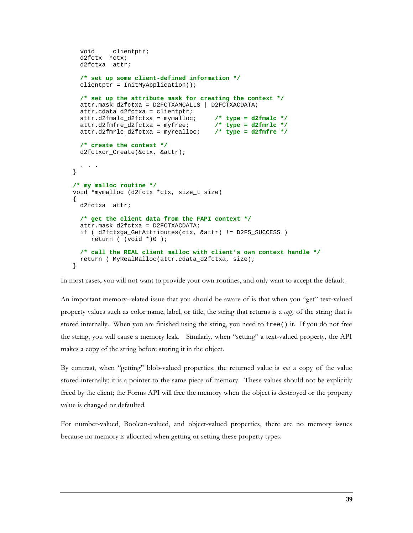```
 void clientptr;
   d2fctx *ctx;
   d2fctxa attr;
   /* set up some client-defined information */
   clientptr = InitMyApplication();
   /* set up the attribute mask for creating the context */
   attr.mask_d2fctxa = D2FCTXAMCALLS | D2FCTXACDATA;
   attr.cdata_d2fctxa = clientptr;
   attr.d2fmalc_d2fctxa = mymalloc; /* type = d2fmalc */
  attr.d2fmfre_d2fctxa = myfree;
   attr.d2fmrlc_d2fctxa = myrealloc; /* type = d2fmfre */
   /* create the context */
   d2fctxcr_Create(&ctx, &attr);
   . . .
}
/* my malloc routine */
void *mymalloc (d2fctx *ctx, size_t size)
{
   d2fctxa attr;
   /* get the client data from the FAPI context */
   attr.mask_d2fctxa = D2FCTXACDATA;
   if ( d2fctxga_GetAttributes(ctx, &attr) != D2FS_SUCCESS )
     return ( (void *)0 );
   /* call the REAL client malloc with client's own context handle */
   return ( MyRealMalloc(attr.cdata_d2fctxa, size);
}
```
In most cases, you will not want to provide your own routines, and only want to accept the default.

An important memory-related issue that you should be aware of is that when you "get" text-valued property values such as color name, label, or title, the string that returns is a *copy* of the string that is stored internally. When you are finished using the string, you need to  $free()$  it. If you do not free the string, you will cause a memory leak. Similarly, when "setting" a text-valued property, the API makes a copy of the string before storing it in the object.

By contrast, when "getting" blob-valued properties, the returned value is *not* a copy of the value stored internally; it is a pointer to the same piece of memory. These values should not be explicitly freed by the client; the Forms API will free the memory when the object is destroyed or the property value is changed or defaulted.

For number-valued, Boolean-valued, and object-valued properties, there are no memory issues because no memory is allocated when getting or setting these property types.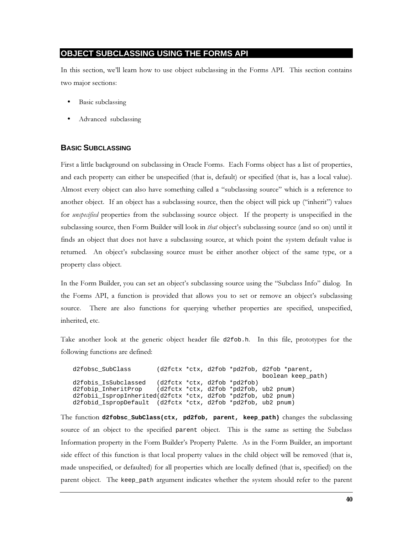# **OBJECT SUBCLASSING USING THE FORMS API**

In this section, we'll learn how to use object subclassing in the Forms API. This section contains two major sections:

- Basic subclassing
- Advanced subclassing

# **BASIC SUBCLASSING**

First a little background on subclassing in Oracle Forms. Each Forms object has a list of properties, and each property can either be unspecified (that is, default) or specified (that is, has a local value). Almost every object can also have something called a "subclassing source" which is a reference to another object. If an object has a subclassing source, then the object will pick up ("inherit") values for *unspecified* properties from the subclassing source object. If the property is unspecified in the subclassing source, then Form Builder will look in *that* object's subclassing source (and so on) until it finds an object that does not have a subclassing source, at which point the system default value is returned. An object's subclassing source must be either another object of the same type, or a property class object.

In the Form Builder, you can set an object's subclassing source using the "Subclass Info" dialog. In the Forms API, a function is provided that allows you to set or remove an object's subclassing source. There are also functions for querying whether properties are specified, unspecified, inherited, etc.

Take another look at the generic object header file d2fob.h. In this file, prototypes for the following functions are defined:

d2fobsc\_SubClass (d2fctx \*ctx, d2fob \*pd2fob, d2fob \*parent, boolean keep\_path) (d2fctx \*ctx, d2fob \*pd2fob) d2fobis\_IsSubclassed (d2fctx \*ctx, d2fob \*pd2fob, ub2 pnum) d2fobip\_InheritProp d2fobii\_IspropInherited(d2fctx \*ctx, d2fob \*pd2fob, ub2 pnum) d2fobid\_IspropDefault (d2fctx \*ctx, d2fob \*pd2fob, ub2 pnum)

The function d2fobsc\_subClass(ctx, pd2fob, parent, keep\_path) changes the subclassing source of an object to the specified parent object. This is the same as setting the Subclass Information property in the Form Builder's Property Palette. As in the Form Builder, an important side effect of this function is that local property values in the child object will be removed (that is, made unspecified, or defaulted) for all properties which are locally defined (that is, specified) on the parent object. The keep\_path argument indicates whether the system should refer to the parent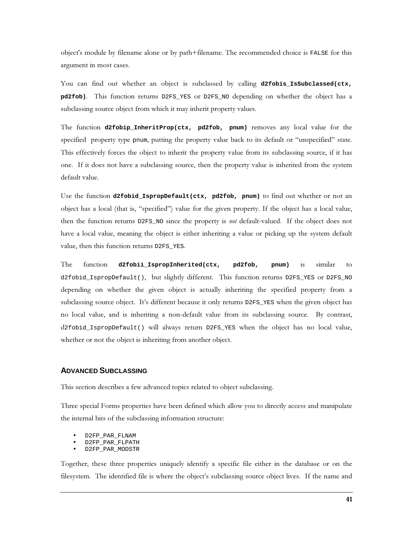object's module by filename alone or by path+filename. The recommended choice is FALSE for this argument in most cases.

You can find out whether an object is subclassed by calling **d2fobis\_IsSubclassed(ctx,** pd2fob). This function returns D2FS\_YES or D2FS\_NO depending on whether the object has a subclassing source object from which it may inherit property values.

The function **d2fobip\_InheritProp(ctx, pd2fob, pnum)** removes any local value for the specified property type pnum, putting the property value back to its default or "unspecified" state. This effectively forces the object to inherit the property value from its subclassing source, if it has one. If it does not have a subclassing source, then the property value is inherited from the system default value.

Use the function **d2fobid\_IspropDefault(ctx, pd2fob, pnum)** to find out whether or not an object has a local (that is, "specified") value for the given property. If the object has a local value, then the function returns D2FS\_NO since the property is *not* default-valued. If the object does not have a local value, meaning the object is either inheriting a value or picking up the system default value, then this function returns D2FS\_YES.

The function **d2fobii\_IspropInherited(ctx, pd2fob, pnum)** is similar to d2fobid\_IspropDefault(), but slightly different. This function returns D2FS\_YES or D2FS\_NO depending on whether the given object is actually inheriting the specified property from a subclassing source object. It's different because it only returns D2FS\_YES when the given object has no local value, and is inheriting a non-default value from its subclassing source. By contrast, d2fobid\_IspropDefault() will always return D2FS\_YES when the object has no local value, whether or not the object is inheriting from another object.

#### **ADVANCED SUBCLASSING**

This section describes a few advanced topics related to object subclassing.

Three special Forms properties have been defined which allow you to directly access and manipulate the internal bits of the subclassing information structure:

- D2FP\_PAR\_FLNAM
- D2FP\_PAR\_FLPATH
- D2FP\_PAR\_MODSTR

Together, these three properties uniquely identify a specific file either in the database or on the filesystem. The identified file is where the object's subclassing source object lives. If the name and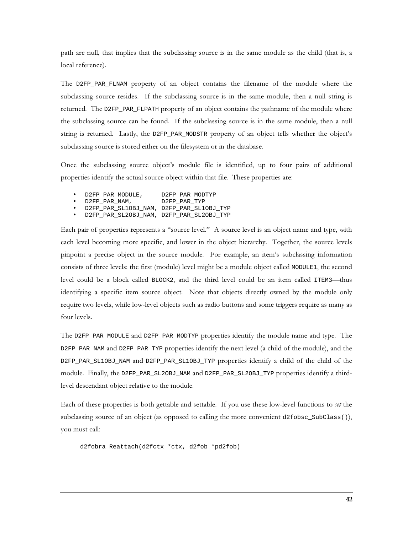path are null, that implies that the subclassing source is in the same module as the child (that is, a local reference).

The D2FP\_PAR\_FLNAM property of an object contains the filename of the module where the subclassing source resides. If the subclassing source is in the same module, then a null string is returned. The D2FP\_PAR\_FLPATH property of an object contains the pathname of the module where the subclassing source can be found. If the subclassing source is in the same module, then a null string is returned. Lastly, the D2FP\_PAR\_MODSTR property of an object tells whether the object's subclassing source is stored either on the filesystem or in the database.

Once the subclassing source object's module file is identified, up to four pairs of additional properties identify the actual source object within that file. These properties are:

- · D2FP\_PAR\_MODULE, D2FP\_PAR\_MODTYP
- $\bullet$  D2FP\_PAR\_NAM, D2FP\_PAR\_TYP
- D2FP\_PAR\_SL1OBJ\_NAM, D2FP\_PAR\_SL1OBJ\_TYP
- D2FP\_PAR\_SL2OBJ\_NAM, D2FP\_PAR\_SL2OBJ\_TYP

Each pair of properties represents a "source level." A source level is an object name and type, with each level becoming more specific, and lower in the object hierarchy. Together, the source levels pinpoint a precise object in the source module. For example, an item's subclassing information consists of three levels: the first (module) level might be a module object called MODULE1, the second level could be a block called BLOCK2, and the third level could be an item called ITEM3—thus identifying a specific item source object. Note that objects directly owned by the module only require two levels, while low-level objects such as radio buttons and some triggers require as many as four levels.

The D2FP\_PAR\_MODULE and D2FP\_PAR\_MODTYP properties identify the module name and type. The D2FP\_PAR\_NAM and D2FP\_PAR\_TYP properties identify the next level (a child of the module), and the D2FP\_PAR\_SL10BJ\_NAM and D2FP\_PAR\_SL10BJ\_TYP properties identify a child of the child of the module. Finally, the D2FP\_PAR\_SL2OBJ\_NAM and D2FP\_PAR\_SL2OBJ\_TYP properties identify a thirdlevel descendant object relative to the module.

Each of these properties is both gettable and settable. If you use these low-level functions to set the subclassing source of an object (as opposed to calling the more convenient d2fobsc\_SubClass()), you must call:

```
d2fobra_Reattach(d2fctx *ctx, d2fob *pd2fob)
```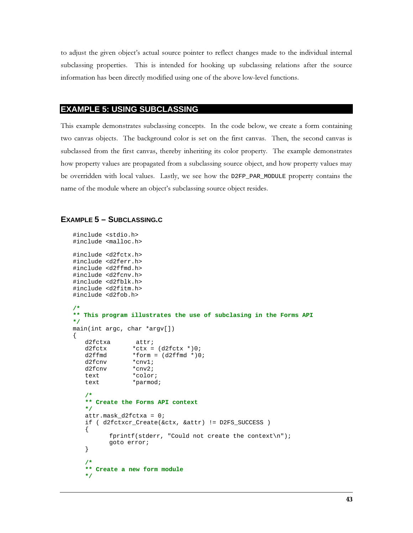to adjust the given object's actual source pointer to reflect changes made to the individual internal subclassing properties. This is intended for hooking up subclassing relations after the source information has been directly modified using one of the above low-level functions.

## **EXAMPLE 5: USING SUBCLASSING**

This example demonstrates subclassing concepts. In the code below, we create a form containing two canvas objects. The background color is set on the first canvas. Then, the second canvas is subclassed from the first canvas, thereby inheriting its color property. The example demonstrates how property values are propagated from a subclassing source object, and how property values may be overridden with local values. Lastly, we see how the D2FP\_PAR\_MODULE property contains the name of the module where an object's subclassing source object resides.

## **EXAMPLE 5 - SUBCLASSING.C**

```
#include <stdio.h>
#include <malloc.h>
#include <d2fctx.h>
#include <d2ferr.h>
#include <d2ffmd.h>
#include <d2fcnv.h>
#include <d2fblk.h>
#include <d2fitm.h>
#include <d2fob.h>
/*
** This program illustrates the use of subclasing in the Forms API
\star /
main(int argc, char *argv[])
\{attr;
   d2fctxa
                *ctx = (d2fctx * )0;d2fctx
   d2ffmd
                 *form = (d2ffmd * )0;d2fcnv
                 *cnvl;
   d2fcnv
                 *cnv2;
   text
                 *color;
   text
                 *parmod;
   /*
   ** Create the Forms API context
   \star /
   attr.maxL_d2fctxa = 0;if ( d2fctxcr_Create(&ctx, &attr) != D2FS_SUCCESS )
   \{fprintf(stderr, "Could not create the context\n");
          goto error;
   \}7*** Create a new form module
   \star/
```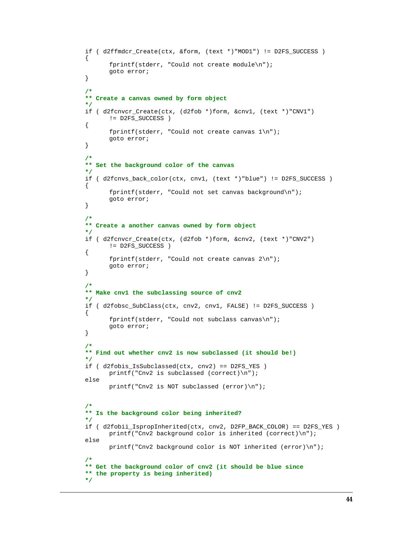```
if ( d2ffmdcr_Create(ctx, &form, (text *)"MOD1") != D2FS_SUCCESS )
{
      fprintf(stderr, "Could not create module\n");
      goto error;
}
/*
** Create a canvas owned by form object
*/
if ( d2fcnvcr_Create(ctx, (d2fob *)form, &cnv1, (text *)"CNV1")
      != D2FS_SUCCESS )
{
      fprintf(stderr, "Could not create canvas 1\n");
      goto error;
}
/*
** Set the background color of the canvas
*/
if ( d2fcnvs_back_color(ctx, cnv1, (text *)"blue") != D2FS_SUCCESS )
{
      fprintf(stderr, "Could not set canvas background\n");
      goto error;
}
/*
** Create a another canvas owned by form object
*/
if ( d2fcnvcr_Create(ctx, (d2fob *)form, &cnv2, (text *)"CNV2")
      != D2FS_SUCCESS )
{
      fprintf(stderr, "Could not create canvas 2\n");
      goto error;
}
/*
** Make cnv1 the subclassing source of cnv2
*/
if ( d2fobsc_SubClass(ctx, cnv2, cnv1, FALSE) != D2FS_SUCCESS )
{
      fprintf(stderr, "Could not subclass canvas\n");
      goto error;
}
/*
** Find out whether cnv2 is now subclassed (it should be!)
*/
if ( d2fobis_IsSubclassed(ctx, cnv2) == D2FS_YES )
      printf("Cnv2 is subclassed (correct)\n");
else
      printf("Cnv2 is NOT subclassed (error)\n");
/*
** Is the background color being inherited?
*/
if ( d2fobii_IspropInherited(ctx, cnv2, D2FP_BACK_COLOR) == D2FS_YES )
      printf("Cnv2 background color is inherited (correct)\n");
else
      printf("Cnv2 background color is NOT inherited (error)\n");
/*
** Get the background color of cnv2 (it should be blue since
** the property is being inherited)
*/
```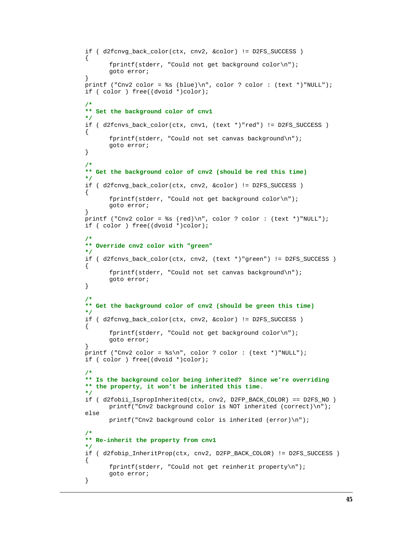```
if ( d2fcnvg_back_color(ctx, cnv2, &color) != D2FS_SUCCESS )
{
      fprintf(stderr, "Could not get background color\n");
      goto error;
}
printf ("Cnv2 color = s (blue)\n", color ? color : (text *)"NULL");
if ( color ) free((dvoid *)color);
/*
** Set the background color of cnv1
*/
if ( d2fcnvs_back_color(ctx, cnv1, (text *)"red") != D2FS_SUCCESS )
{
      fprintf(stderr, "Could not set canvas background\n");
      goto error;
}
/*
** Get the background color of cnv2 (should be red this time)
*/
if ( d2fcnvg_back_color(ctx, cnv2, &color) != D2FS_SUCCESS )
{
      fprintf(stderr, "Could not get background color\n");
      goto error;
}
printf ("Cnv2 color = ss (red)\n", color ? color : (text *)"NULL");
if ( color ) free((dvoid *)color);
/*
** Override cnv2 color with "green"
*/
if ( d2fcnvs_back_color(ctx, cnv2, (text *)"green") != D2FS_SUCCESS )
{
      fprintf(stderr, "Could not set canvas background\n");
      goto error;
}
/*
** Get the background color of cnv2 (should be green this time)
*/
if ( d2fcnvg_back_color(ctx, cnv2, &color) != D2FS_SUCCESS )
{
      fprintf(stderr, "Could not get background color\n");
      goto error;
}
printf ("Cnv2 color = s\", color ? color : (text *)"NULL");
if ( color ) free((dvoid *)color);
/*
** Is the background color being inherited? Since we're overriding
** the property, it won't be inherited this time.
*/
if ( d2fobii_IspropInherited(ctx, cnv2, D2FP_BACK_COLOR) == D2FS_NO )
      printf("Cnv2 background color is NOT inherited (correct)\n");
else
      printf("Cnv2 background color is inherited (error)\n");
/*
** Re-inherit the property from cnv1
*/
if ( d2fobip InheritProp(ctx, cnv2, D2FP BACK COLOR) != D2FS SUCCESS )
{
      fprintf(stderr, "Could not get reinherit property\n");
      goto error;
}
```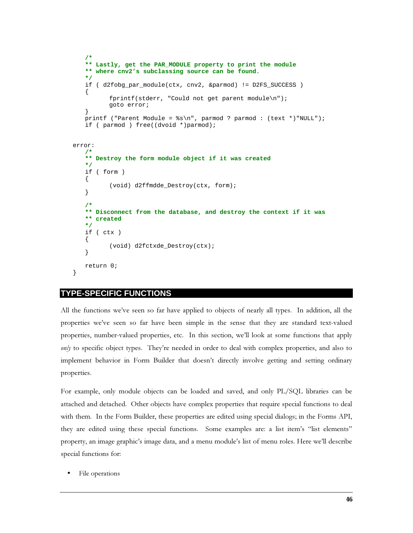```
/*
   ** Lastly, get the PAR_MODULE property to print the module
   ** where cnv2's subclassing source can be found.
   */
   if ( d2fobg_par_module(ctx, cnv2, &parmod) != D2FS_SUCCESS )
   {
          fprintf(stderr, "Could not get parent module\n");
          goto error;
   }
   printf ("Parent Module = %s\n", parmod ? parmod : (text *)"NULL");
   if ( parmod ) free((dvoid *)parmod);
error:
   /*
   ** Destroy the form module object if it was created
   */
   if ( form )
   {
          (void) d2ffmdde_Destroy(ctx, form);
   }
   /*
   ** Disconnect from the database, and destroy the context if it was
   ** created
   */
   if ( ctx )
   {
          (void) d2fctxde_Destroy(ctx);
   }
   return 0;
}
```
# **TYPE-SPECIFIC FUNCTIONS**

All the functions we've seen so far have applied to objects of nearly all types. In addition, all the properties we've seen so far have been simple in the sense that they are standard text-valued properties, number-valued properties, etc. In this section, we'll look at some functions that apply  $\omega$ <sub>W</sub> to specific object types. They're needed in order to deal with complex properties, and also to implement behavior in Form Builder that doesn't directly involve getting and setting ordinary properties.

For example, only module objects can be loaded and saved, and only PL/SQL libraries can be attached and detached. Other objects have complex properties that require special functions to deal with them. In the Form Builder, these properties are edited using special dialogs; in the Forms API, they are edited using these special functions. Some examples are: a list item's "list elements" property, an image graphic's image data, and a menu module's list of menu roles. Here we'll describe special functions for:

File operations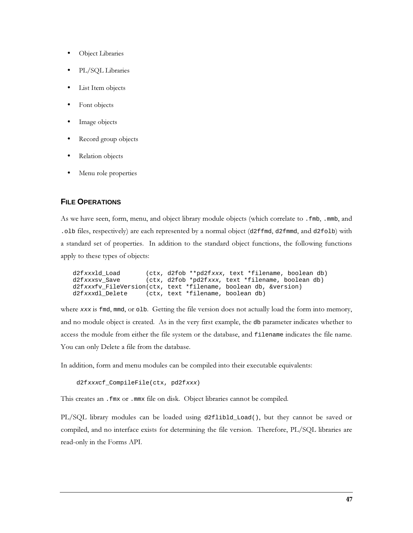- Object Libraries
- PL/SQL Libraries
- List Item objects
- Font objects
- Image objects
- Record group objects
- Relation objects
- Menu role properties

#### **FILE OPERATIONS**

As we have seen, form, menu, and object library module objects (which correlate to . fmb, . mmb, and . olb files, respectively) are each represented by a normal object (d2ffmd, d2fmmd, and d2folb) with a standard set of properties. In addition to the standard object functions, the following functions apply to these types of objects:

```
d2fxxxld_Load (ctx, d2fob **pd2fxxx, text *filename, boolean db)
d2fxxxsv_Save (ctx, d2fob *pd2fxxx, text *filename, boolean db)
d2fxxxfv_FileVersion(ctx, text *filename, boolean db, &version)
d2fxxxdl Delete (ctx, text *filename, boolean db)
```
where  $xxx$  is fmd, mmd, or olb. Getting the file version does not actually load the form into memory, and no module object is created. As in the very first example, the db parameter indicates whether to access the module from either the file system or the database, and filename indicates the file name. You can only Delete a file from the database.

In addition, form and menu modules can be compiled into their executable equivalents:

```
 d2fxxxcf_CompileFile(ctx, pd2fxxx)
```
This creates an . fmx or . mmx file on disk. Object libraries cannot be compiled.

PL/SQL library modules can be loaded using d2flibld\_Load(), but they cannot be saved or compiled, and no interface exists for determining the file version. Therefore, PL/SQL libraries are read-only in the Forms API.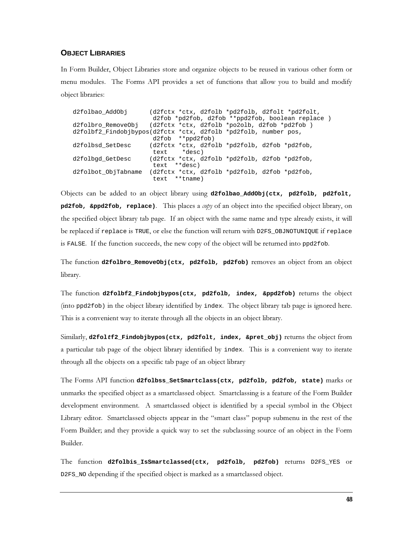#### **OBJECT LIBRARIES**

In Form Builder, Object Libraries store and organize objects to be reused in various other form or menu modules. The Forms API provides a set of functions that allow you to build and modify object libraries:

| d2folbao AddObi     | (d2fctx *ctx, d2folb *pd2folb, d2folt *pd2folt,                  |
|---------------------|------------------------------------------------------------------|
|                     | d2fob *pd2fob, d2fob **ppd2fob, boolean replace )                |
|                     | d2folbro RemoveObj (d2fctx *ctx, d2folb *po2olb, d2fob *pd2fob ) |
|                     | d2folbf2 Findobjbypos(d2fctx *ctx, d2folb *pd2folb, number pos,  |
|                     | $d2fob$ **ppd $2fob$ )                                           |
| d2folbsd SetDesc    | (d2fctx *ctx, d2folb *pd2folb, d2fob *pd2fob,                    |
|                     | text *desc)                                                      |
| d2folbgd GetDesc    | (d2fctx *ctx, d2folb *pd2folb, d2fob *pd2fob,                    |
|                     | text **desc)                                                     |
| d2folbot ObjTabname | (d2fctx *ctx, d2folb *pd2folb, d2fob *pd2fob,                    |
|                     | text **tname)                                                    |

Objects can be added to an object library using d2folbao\_AddObj(ctx, pd2folb, pd2folt, **pd2fob, &ppd2fob, replace**). This places a *copy* of an object into the specified object library, on the specified object library tab page. If an object with the same name and type already exists, it will be replaced if replace is TRUE, or else the function will return with D2FS\_OBJNOTUNIQUE if replace is FALSE. If the function succeeds, the new copy of the object will be returned into  $ppd2fob$ .

The function d2folbro\_RemoveObj(ctx, pd2folb, pd2fob) removes an object from an object library.

The function d2folbf2\_Findobjbypos(ctx, pd2folb, index, &ppd2fob) returns the object  $(\text{into ppd2fob})$  in the object library identified by index. The object library tab page is ignored here. This is a convenient way to iterate through all the objects in an object library.

Similarly, d2foltf2\_Findobjbypos(ctx, pd2folt, index, &pret\_obj) returns the object from a particular tab page of the object library identified by index. This is a convenient way to iterate through all the objects on a specific tab page of an object library

The Forms API function d2folbss\_setSmartclass(ctx, pd2folb, pd2fob, state) marks or unmarks the specified object as a smartclassed object. Smartclassing is a feature of the Form Builder development environment. A smartclassed object is identified by a special symbol in the Object Library editor. Smartclassed objects appear in the "smart class" popup submenu in the rest of the Form Builder; and they provide a quick way to set the subclassing source of an object in the Form Builder.

The function **d2folbis IsSmartclassed(ctx, pd2folb, pd2fob)** returns D2FS\_YES or D2FS\_NO depending if the specified object is marked as a smartclassed object.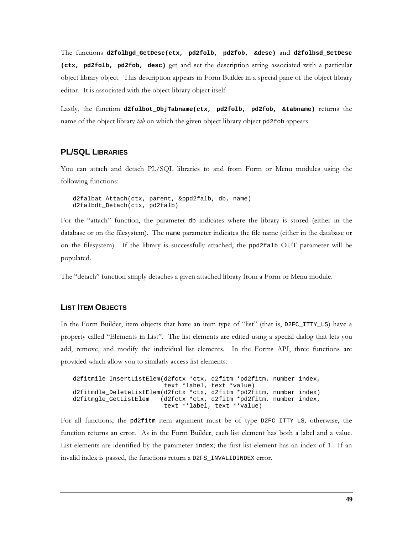The functions d2folbgd\_GetDesc(ctx, pd2folb, pd2fob, &desc) and d2folbsd\_SetDesc (ctx, pd2folb, pd2fob, desc) get and set the description string associated with a particular object library object. This description appears in Form Builder in a special pane of the object library editor. It is associated with the object library object itself.

Lastly, the function d2folbot\_ObjTabname(ctx, pd2folb, pd2fob, &tabname) returns the name of the object library tab on which the given object library object pd2fob appears.

# **PL/SQL LIBRARIES**

You can attach and detach PL/SQL libraries to and from Form or Menu modules using the following functions:

d2falbat\_Attach(ctx, parent, &ppd2falb, db, name) d2falbdt\_Detach(ctx, pd2falb)

For the "attach" function, the parameter db indicates where the library is stored (either in the database or on the filesystem). The name parameter indicates the file name (either in the database or on the filesystem). If the library is successfully attached, the ppd2falb OUT parameter will be populated.

The "detach" function simply detaches a given attached library from a Form or Menu module.

### **LIST ITEM OBJECTS**

In the Form Builder, item objects that have an item type of "list" (that is,  $D2FC_ITTY_LS$ ) have a property called "Elements in List". The list elements are edited using a special dialog that lets you add, remove, and modify the individual list elements. In the Forms API, three functions are provided which allow you to similarly access list elements:

```
d2fitmile_InsertListElem(d2fctx *ctx, d2fitm *pd2fitm, number index,
                          text *label, text *value)
d2fitmdle_DeleteListElem(d2fctx *ctx, d2fitm *pd2fitm, number index)
d2fitmgle_GetListElem (d2fctx *ctx, d2fitm *pd2fitm, number index,
                          text **label, text **value)
```
For all functions, the pd2fitm item argument must be of type  $\text{D2FC\_ITTY\_LS}$ ; otherwise, the function returns an error. As in the Form Builder, each list element has both a label and a value. List elements are identified by the parameter index; the first list element has an index of 1. If an invalid index is passed, the functions return a D2FS\_INVALIDINDEX error.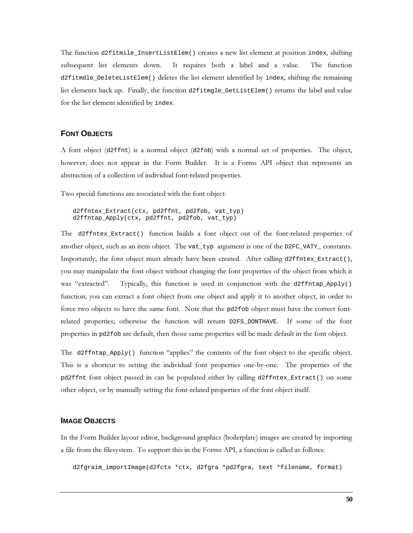The function d2fitmile\_InsertListElem() creates a new list element at position index, shifting subsequent list elements down. It requires both a label and a value. The function d2fitmdle\_DeleteListElem() deletes the list element identified by index, shifting the remaining list elements back up. Finally, the function d2fitmgle\_GetListElem() returns the label and value for the list element identified by index.

#### **FONT OBJECTS**

A font object (d2f fnt) is a normal object (d2f ob) with a normal set of properties. The object, however, does not appear in the Form Builder. It is a Forms API object that represents an abstraction of a collection of individual font-related properties.

Two special functions are associated with the font object:

d2ffntex\_Extract(ctx, pd2ffnt, pd2fob, vat\_typ) d2ffntap\_Apply(ctx, pd2ffnt, pd2fob, vat\_typ)

The d2ffntex\_Extract() function builds a font object out of the font-related properties of another object, such as an item object. The vat\_typ argument is one of the D2FC\_VATY\_constants. Importantly, the font object must already have been created. After calling d2ffntex\_Extract(), you may manipulate the font object without changing the font properties of the object from which it was "extracted". Typically, this function is used in conjunction with the d2ffntap\_Apply() function; you can extract a font object from one object and apply it to another object, in order to force two objects to have the same font. Note that the pd2fob object must have the correct fontrelated properties; otherwise the function will return D2FS\_DONTHAVE. If some of the font properties in pd2fob are default, then those same properties will be made default in the font object.

The d2ffntap\_Apply() function "applies" the contents of the font object to the specific object. This is a shortcut to setting the individual font properties one-by-one. The properties of the pd2ffnt font object passed in can be populated either by calling d2ffntex\_Extract() on some other object, or by manually setting the font-related properties of the font object itself.

#### **IMAGE OBJECTS**

In the Form Builder layout editor, background graphics (boilerplate) images are created by importing a file from the filesystem. To support this in the Forms API, a function is called as follows:

d2fgraim\_importImage(d2fctx \*ctx, d2fgra \*pd2fgra, text \*filename, format)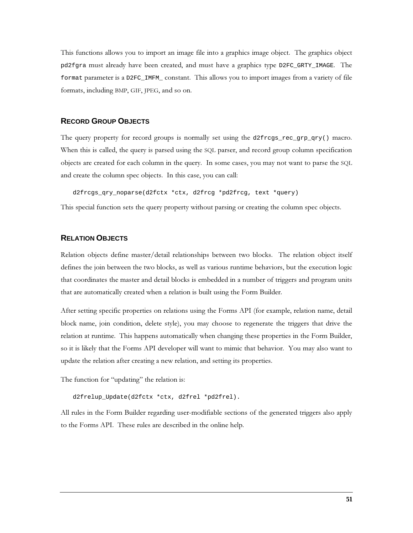This functions allows you to import an image file into a graphics image object. The graphics object pd2fgra must already have been created, and must have a graphics type D2FC\_GRTY\_IMAGE. The format parameter is a D2FC\_IMFM\_constant. This allows you to import images from a variety of file formats, including BMP, GIF, JPEG, and so on.

#### **RECORD GROUP OBJECTS**

The query property for record groups is normally set using the d2frcgs\_rec\_grp\_qry() macro. When this is called, the query is parsed using the SQL parser, and record group column specification objects are created for each column in the query. In some cases, you may not want to parse the SQL and create the column spec objects. In this case, you can call:

d2frcgs\_qry\_noparse(d2fctx \*ctx, d2frcg \*pd2frcg, text \*query)

This special function sets the query property without parsing or creating the column spec objects.

#### **RELATION OBJECTS**

Relation objects define master/detail relationships between two blocks. The relation object itself defines the join between the two blocks, as well as various runtime behaviors, but the execution logic that coordinates the master and detail blocks is embedded in a number of triggers and program units that are automatically created when a relation is built using the Form Builder.

After setting specific properties on relations using the Forms API (for example, relation name, detail block name, join condition, delete style), you may choose to regenerate the triggers that drive the relation at runtime. This happens automatically when changing these properties in the Form Builder, so it is likely that the Forms API developer will want to mimic that behavior. You may also want to update the relation after creating a new relation, and setting its properties.

The function for "updating" the relation is:

d2frelup\_Update(d2fctx \*ctx, d2frel \*pd2frel).

All rules in the Form Builder regarding user-modifiable sections of the generated triggers also apply to the Forms API. These rules are described in the online help.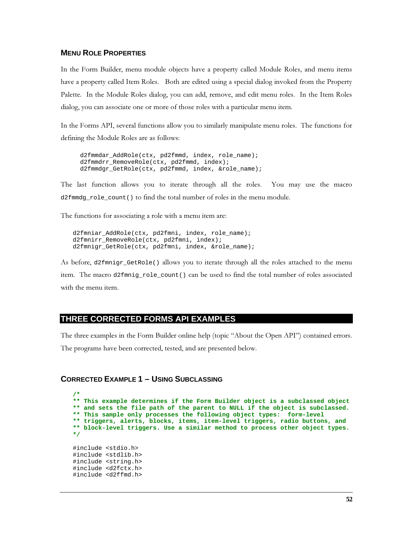## **MENU ROLE PROPERTIES**

In the Form Builder, menu module objects have a property called Module Roles, and menu items have a property called Item Roles. Both are edited using a special dialog invoked from the Property Palette. In the Module Roles dialog, you can add, remove, and edit menu roles. In the Item Roles dialog, you can associate one or more of those roles with a particular menu item.

In the Forms API, several functions allow you to similarly manipulate menu roles. The functions for defining the Module Roles are as follows:

d2fmmdar\_AddRole(ctx, pd2fmmd, index, role\_name); d2fmmdrr\_RemoveRole(ctx, pd2fmmd, index); d2fmmdgr\_GetRole(ctx, pd2fmmd, index, &role\_name);

The last function allows you to iterate through all the roles. You may use the macro d2fmmdq role count() to find the total number of roles in the menu module.

The functions for associating a role with a menu item are:

d2fmniar\_AddRole(ctx, pd2fmni, index, role\_name); d2fmnirr\_RemoveRole(ctx, pd2fmni, index); d2fmnigr\_GetRole(ctx, pd2fmni, index, &role\_name);

As before, d2fmnigr\_GetRole() allows you to iterate through all the roles attached to the menu item. The macro d2fmniq role count () can be used to find the total number of roles associated with the menu item.

# THREE CORRECTED FORMS API EXAMPLES

The three examples in the Form Builder online help (topic "About the Open API") contained errors. The programs have been corrected, tested, and are presented below.

```
CORRECTED EXAMPLE 1 - USING SUBCLASSING
```

```
** This example determines if the Form Builder object is a subclassed object
** and sets the file path of the parent to NULL if the object is subclassed.
** This sample only processes the following object types: form-level
** triggers, alerts, blocks, items, item-level triggers, radio buttons, and
** block-level triggers. Use a similar method to process other object types.
\star /
#include <stdio.h>
#include <stdlib.h>
#include <string.h>
#include <d2fctx.h>
#include <d2ffmd.h>
```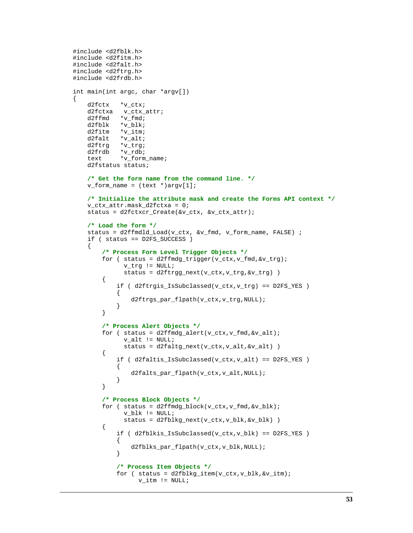```
#include <d2fblk.h>
#include <d2fitm.h>
#include <d2falt.h>
#include <d2ftrg.h>
#include <d2frdb.h>
int main(int argc, char *argv[])
    d2fctx *v_ctx;
    d2fctxa v_ctx_attr;
   d2ffmd *v_fmd;<br>d2fblk *v_blk;
             *_{\text{v\_blk}};
    d2fitm *v_itm;
    d2falt *v_alt;
    d2ftrg *v_trg;
    d2frdb *v_rdb;
    text *v_form_name;
    d2fstatus status;
     /* Get the form name from the command line. */
    v_form_name = (text *)argv[1];
     /* Initialize the attribute mask and create the Forms API context */
    v_ctx_attr.mask_d2fctxa = 0;
    status = d2fctxcr_Create(&v_ctx, &v_ctx_attr);
     /* Load the form */
     status = d2ffmdld_Load(v_ctx, &v_fmd, v_form_name, FALSE) ;
     if ( status == D2FS_SUCCESS )
     {
         /* Process Form Level Trigger Objects */
        for ( status = d2ffmdg_trigger(v_ctx,v_fmd,kv_trg); v_trg != NULL;
               status = d2ftrgg_next(v_ctx,v_trg,&v_trg) )
\{if ( d2ftrgis IsSubclassed(v ctx,v trg) == D2FS YES )
\{ d2ftrgs_par_flpath(v_ctx,v_trg,NULL);
 }
         }
         /* Process Alert Objects */
        for ( status = d2ffmdg_{a}lert(v_{c}tx, v_{f}md, & v_{a}lt);
              <code>v_alt != NULL</code>;
              status = d2faltg_next(v_ctx,v_alt, &v_alt))
\{ if ( d2faltis_IsSubclassed(v_ctx,v_alt) == D2FS_YES )
\{ d2falts_par_flpath(v_ctx,v_alt,NULL);
 }
         }
         /* Process Block Objects */
        for ( status = d2ffmdg_block(v_ctx,v_fmd,kv_blk); v_blk != NULL;
               status = d2fblkg_next(v_ctx,v_blk,&v_blk) )
         {
             if ( d2fblkis_IsSubclassed(v_ctx,v_blk) == D2FS_YES )
\{d2fblks_par_flpath(v_ctx,v_blk,NULL);<br>}
 }
             /* Process Item Objects */
             for ( status = d2fblkg_item(v_ctx,v_blk,&v_itm);
                   v_itm != NULL;
```
{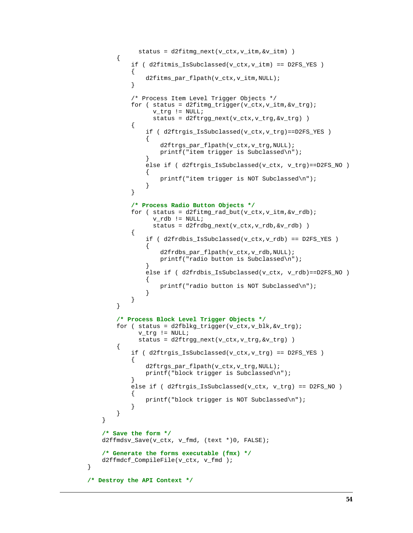```
 status = d2fitmg_next(v_ctx,v_itm,&v_itm) )
\{ if ( d2fitmis_IsSubclassed(v_ctx,v_itm) == D2FS_YES )
 {
                  d2fitms_par_flpath(v_ctx,v_itm,NULL);
 }
              /* Process Item Level Trigger Objects */
             for ( status = d2fitmg_trigger(v_ctx,v_itm, &v_trg);
                   v_trg != NULL;
                   status = d2ftrgg_next(v_ctx,v_trg,&v_trg) )
 {
                  if ( d2ftrgis_IsSubclassed(v_ctx,v_trg)==D2FS_YES )
\{ d2ftrgs_par_flpath(v_ctx,v_trg,NULL);
                     printf("item trigger is Subclassed\n");
 }
                 else if ( d2ftrgis_IsSubclassed(v_ctx, v_trg)==D2FS_NO )
\{printf("item trigger is NOT Subclassed\n");<br>}
 }
 }
              /* Process Radio Button Objects */
             for ( status = d2fitmg_rad_but(v_ctx,v_itm, &v_rdb);
                  <code>v_rdb</code> <br> != \texttt{NULL} ;
                   status = d2frdbg_next(v_ctx,v_rdb,&v_rdb) )
 {
                  if ( d2frdbis_IsSubclassed(v_ctx,v_rdb) == D2FS_YES )
\{ d2frdbs_par_flpath(v_ctx,v_rdb,NULL);
                     printf("radio button is Subclassed\n");
 }
                  else if ( d2frdbis_IsSubclassed(v_ctx, v_rdb)==D2FS_NO )
\{ printf("radio button is NOT Subclassed\n");
 }
 }
 }
           /* Process Block Level Trigger Objects */
          for ( status = d2fblkg_trigger(v_ctx,v_blk, &r_trgs); v_trg != NULL;
                status = d2ftrgg_next(v_ctx,v_trg,&v_trg) )
\{ if ( d2ftrgis_IsSubclassed(v_ctx,v_trg) == D2FS_YES )
 {
                  d2ftrgs_par_flpath(v_ctx,v_trg,NULL);
                 printf("block trigger is Subclassed\n");
 }
              else if ( d2ftrgis_IsSubclassed(v_ctx, v_trg) == D2FS_NO )
 {
                 printf("block trigger is NOT Subclassed\n");
 }
 }
       }
       /* Save the form */
       d2ffmdsv_Save(v_ctx, v_fmd, (text *)0, FALSE);
       /* Generate the forms executable (fmx) */
       d2ffmdcf_CompileFile(v_ctx, v_fmd );
    /* Destroy the API Context */
```
}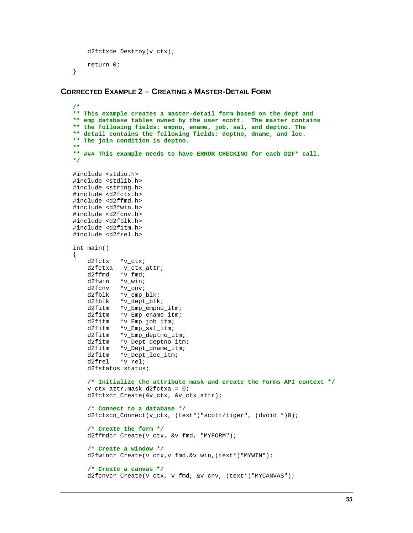```
 d2fctxde_Destroy(v_ctx);
     return 0;
}
```
## **CORRECTED EXAMPLE 2 – CREATING A MASTER-DETAIL FORM**

```
/*
** This example creates a master-detail form based on the dept and
** emp database tables owned by the user scott. The master contains
** the following fields: empno, ename, job, sal, and deptno. The
** detail contains the following fields: deptno, dname, and loc.
** The join condition is deptno.
**
** ### This example needs to have ERROR CHECKING for each D2F* call.
*/
#include <stdio.h>
#include <stdlib.h>
#include <string.h>
#include <d2fctx.h>
#include <d2ffmd.h>
#include <d2fwin.h>
#include <d2fcnv.h>
#include <d2fblk.h>
#include <d2fitm.h>
#include <d2frel.h>
int main()
{
     d2fctx *v_ctx;
     d2fctxa v_ctx_attr;
    d2ffmd *v_fmd;<br>d2fwin *v win;
    d2fwin *v_win;<br>d2fcnv *v cnv;
               *_{\text{v\_env}};
     d2fblk *v_emp_blk;
    d2fblk *v_dept_blk;<br>d2fitm *v Emp empno
    d2fitm *v_Emp_empno_itm;<br>d2fitm *v Emp ename itm;
    d2fitm *_{V\_Emp\_ename\_itm};<br>d2fitm *_{V\_Emp\_job\_itm};
               *_{V\_Emp\_job\_itm};
    d2fitm *v_Emp_sal_itm;<br>d2fitm *v_Emp_deptno_i
    d2fitm *v_Emp_deptno_itm;<br>d2fitm *v_Dept_deptno_itm
    d2fitm *v_Dept_deptno_itm;<br>d2fitm *v_Dept_dname_itm;
               *_{\text{V\_Depth\_dname\_itm}};
     d2fitm *v_Dept_loc_itm;
     d2frel *v_rel;
     d2fstatus status;
     /* Initialize the attribute mask and create the Forms API context */
     v_ctx_attr.mask_d2fctxa = 0;
     d2fctxcr_Create(&v_ctx, &v_ctx_attr);
     /* Connect to a database */
    d2fctxcn Connect(v_ctx, (text*)"scott/tiger", (dvoid *)0);
     /* Create the form */
     d2ffmdcr_Create(v_ctx, &v_fmd, "MYFORM");
     /* Create a window */
     d2fwincr_Create(v_ctx,v_fmd,&v_win,(text*)"MYWIN");
     /* Create a canvas */
     d2fcnvcr_Create(v_ctx, v_fmd, &v_cnv, (text*)"MYCANVAS");
```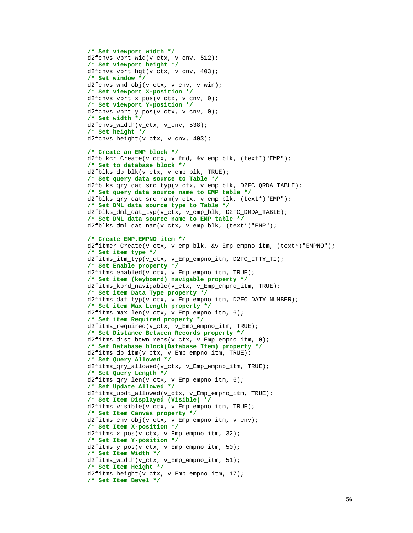```
 /* Set viewport width */
 d2fcnvs_vprt_wid(v_ctx, v_cnv, 512);
 /* Set viewport height */
 d2fcnvs_vprt_hgt(v_ctx, v_cnv, 403);
 /* Set window */
 d2fcnvs_wnd_obj(v_ctx, v_cnv, v_win);
 /* Set viewport X-position */
 d2fcnvs_vprt_x_pos(v_ctx, v_cnv, 0);
 /* Set viewport Y-position */
 d2fcnvs_vprt_y_pos(v_ctx, v_cnv, 0);
 /* Set width */
 d2fcnvs_width(v_ctx, v_cnv, 538);
 /* Set height */
d2fcnvs height(v ctx, v cnv, 403);
 /* Create an EMP block */
 d2fblkcr_Create(v_ctx, v_fmd, &v_emp_blk, (text*)"EMP");
 /* Set to database block */
 d2fblks_db_blk(v_ctx, v_emp_blk, TRUE);
 /* Set query data source to Table */
 d2fblks_qry_dat_src_typ(v_ctx, v_emp_blk, D2FC_QRDA_TABLE);
 /* Set query data source name to EMP table */
 d2fblks_qry_dat_src_nam(v_ctx, v_emp_blk, (text*)"EMP");
 /* Set DML data source type to Table */
 d2fblks_dml_dat_typ(v_ctx, v_emp_blk, D2FC_DMDA_TABLE);
 /* Set DML data source name to EMP table */
 d2fblks_dml_dat_nam(v_ctx, v_emp_blk, (text*)"EMP");
 /* Create EMP.EMPNO item */
 d2fitmcr_Create(v_ctx, v_emp_blk, &v_Emp_empno_itm, (text*)"EMPNO");
 /* Set item type */
 d2fitms_itm_typ(v_ctx, v_Emp_empno_itm, D2FC_ITTY_TI);
 /* Set Enable property */
 d2fitms_enabled(v_ctx, v_Emp_empno_itm, TRUE);
 /* Set item (keyboard) navigable property */
 d2fitms_kbrd_navigable(v_ctx, v_Emp_empno_itm, TRUE);
 /* Set item Data Type property */
 d2fitms_dat_typ(v_ctx, v_Emp_empno_itm, D2FC_DATY_NUMBER);
 /* Set item Max Length property */
 d2fitms_max_len(v_ctx, v_Emp_empno_itm, 6);
 /* Set item Required property */
 d2fitms_required(v_ctx, v_Emp_empno_itm, TRUE);
 /* Set Distance Between Records property */
 d2fitms_dist_btwn_recs(v_ctx, v_Emp_empno_itm, 0);
 /* Set Database block(Database Item) property */
 d2fitms_db_itm(v_ctx, v_Emp_empno_itm, TRUE);
 /* Set Query Allowed */
 d2fitms_qry_allowed(v_ctx, v_Emp_empno_itm, TRUE);
 /* Set Query Length */
 d2fitms_qry_len(v_ctx, v_Emp_empno_itm, 6);
 /* Set Update Allowed */
 d2fitms_updt_allowed(v_ctx, v_Emp_empno_itm, TRUE);
 /* Set Item Displayed (Visible) */
 d2fitms_visible(v_ctx, v_Emp_empno_itm, TRUE);
 /* Set Item Canvas property */
 d2fitms_cnv_obj(v_ctx, v_Emp_empno_itm, v_cnv);
 /* Set Item X-position */
 d2fitms_x_pos(v_ctx, v_Emp_empno_itm, 32);
 /* Set Item Y-position */
 d2fitms_y_pos(v_ctx, v_Emp_empno_itm, 50);
 /* Set Item Width */
 d2fitms_width(v_ctx, v_Emp_empno_itm, 51);
 /* Set Item Height */
 d2fitms_height(v_ctx, v_Emp_empno_itm, 17);
 /* Set Item Bevel */
```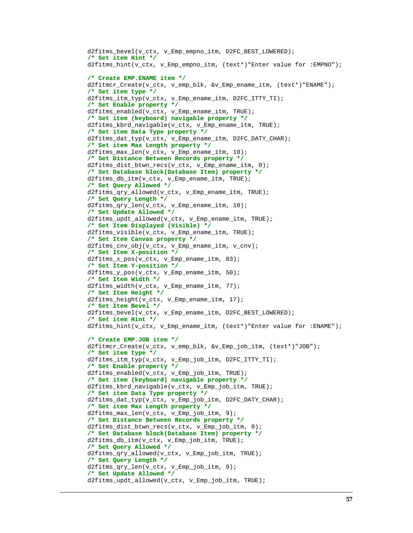```
 d2fitms_bevel(v_ctx, v_Emp_empno_itm, D2FC_BEST_LOWERED);
 /* Set item Hint */
 d2fitms_hint(v_ctx, v_Emp_empno_itm, (text*)"Enter value for :EMPNO");
 /* Create EMP.ENAME item */
 d2fitmcr_Create(v_ctx, v_emp_blk, &v_Emp_ename_itm, (text*)"ENAME");
 /* Set item type */
 d2fitms_itm_typ(v_ctx, v_Emp_ename_itm, D2FC_ITTY_TI);
 /* Set Enable property */
 d2fitms_enabled(v_ctx, v_Emp_ename_itm, TRUE);
 /* Set item (keyboard) navigable property */
 d2fitms_kbrd_navigable(v_ctx, v_Emp_ename_itm, TRUE);
 /* Set item Data Type property */
 d2fitms_dat_typ(v_ctx, v_Emp_ename_itm, D2FC_DATY_CHAR);
 /* Set item Max Length property */
 d2fitms_max_len(v_ctx, v_Emp_ename_itm, 10);
 /* Set Distance Between Records property */
d2fitms dist btwn recs(v ctx, v Emp ename itm, 0);
 /* Set Database block(Database Item) property */
 d2fitms_db_itm(v_ctx, v_Emp_ename_itm, TRUE);
 /* Set Query Allowed */
 d2fitms_qry_allowed(v_ctx, v_Emp_ename_itm, TRUE);
 /* Set Query Length */
 d2fitms_qry_len(v_ctx, v_Emp_ename_itm, 10);
 /* Set Update Allowed */
 d2fitms_updt_allowed(v_ctx, v_Emp_ename_itm, TRUE);
 /* Set Item Displayed (Visible) */
 d2fitms_visible(v_ctx, v_Emp_ename_itm, TRUE);
 /* Set Item Canvas property */
 d2fitms_cnv_obj(v_ctx, v_Emp_ename_itm, v_cnv);
 /* Set Item X-position */
 d2fitms_x_pos(v_ctx, v_Emp_ename_itm, 83);
 /* Set Item Y-position */
 d2fitms_y_pos(v_ctx, v_Emp_ename_itm, 50);
 /* Set Item Width */
 d2fitms_width(v_ctx, v_Emp_ename_itm, 77);
 /* Set Item Height */
 d2fitms_height(v_ctx, v_Emp_ename_itm, 17);
 /* Set Item Bevel */
 d2fitms_bevel(v_ctx, v_Emp_ename_itm, D2FC_BEST_LOWERED);
 /* Set item Hint */
 d2fitms_hint(v_ctx, v_Emp_ename_itm, (text*)"Enter value for :ENAME");
 /* Create EMP.JOB item */
 d2fitmcr_Create(v_ctx, v_emp_blk, &v_Emp_job_itm, (text*)"JOB");
 /* Set item type */
 d2fitms_itm_typ(v_ctx, v_Emp_job_itm, D2FC_ITTY_TI);
 /* Set Enable property */
 d2fitms_enabled(v_ctx, v_Emp_job_itm, TRUE);
 /* Set item (keyboard) navigable property */
 d2fitms_kbrd_navigable(v_ctx, v_Emp_job_itm, TRUE);
 /* Set item Data Type property */
 d2fitms_dat_typ(v_ctx, v_Emp_job_itm, D2FC_DATY_CHAR);
 /* Set item Max Length property */
 d2fitms_max_len(v_ctx, v_Emp_job_itm, 9);
 /* Set Distance Between Records property */
 d2fitms_dist_btwn_recs(v_ctx, v_Emp_job_itm, 0);
 /* Set Database block(Database Item) property */
 d2fitms_db_itm(v_ctx, v_Emp_job_itm, TRUE);
 /* Set Query Allowed */
 d2fitms_qry_allowed(v_ctx, v_Emp_job_itm, TRUE);
 /* Set Query Length */
 d2fitms_qry_len(v_ctx, v_Emp_job_itm, 9);
 /* Set Update Allowed */
 d2fitms_updt_allowed(v_ctx, v_Emp_job_itm, TRUE);
```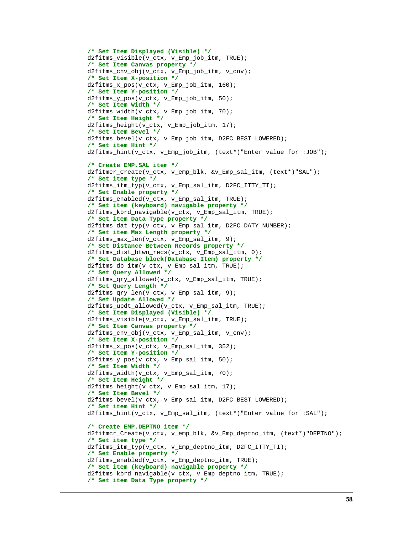```
 /* Set Item Displayed (Visible) */
 d2fitms_visible(v_ctx, v_Emp_job_itm, TRUE);
 /* Set Item Canvas property */
 d2fitms_cnv_obj(v_ctx, v_Emp_job_itm, v_cnv);
 /* Set Item X-position */
 d2fitms_x_pos(v_ctx, v_Emp_job_itm, 160);
 /* Set Item Y-position */
 d2fitms_y_pos(v_ctx, v_Emp_job_itm, 50);
 /* Set Item Width */
 d2fitms_width(v_ctx, v_Emp_job_itm, 70);
 /* Set Item Height */
 d2fitms_height(v_ctx, v_Emp_job_itm, 17);
 /* Set Item Bevel */
d2fitms bevel(v ctx, v Emp job itm, D2FC BEST LOWERED);
 /* Set item Hint */
 d2fitms_hint(v_ctx, v_Emp_job_itm, (text*)"Enter value for :JOB");
 /* Create EMP.SAL item */
 d2fitmcr_Create(v_ctx, v_emp_blk, &v_Emp_sal_itm, (text*)"SAL");
 /* Set item type */
 d2fitms_itm_typ(v_ctx, v_Emp_sal_itm, D2FC_ITTY_TI);
 /* Set Enable property */
 d2fitms_enabled(v_ctx, v_Emp_sal_itm, TRUE);
 /* Set item (keyboard) navigable property */
 d2fitms_kbrd_navigable(v_ctx, v_Emp_sal_itm, TRUE);
 /* Set item Data Type property */
 d2fitms_dat_typ(v_ctx, v_Emp_sal_itm, D2FC_DATY_NUMBER);
 /* Set item Max Length property */
 d2fitms_max_len(v_ctx, v_Emp_sal_itm, 9);
 /* Set Distance Between Records property */
 d2fitms_dist_btwn_recs(v_ctx, v_Emp_sal_itm, 0);
 /* Set Database block(Database Item) property */
 d2fitms_db_itm(v_ctx, v_Emp_sal_itm, TRUE);
 /* Set Query Allowed */
 d2fitms_qry_allowed(v_ctx, v_Emp_sal_itm, TRUE);
 /* Set Query Length */
 d2fitms_qry_len(v_ctx, v_Emp_sal_itm, 9);
 /* Set Update Allowed */
 d2fitms_updt_allowed(v_ctx, v_Emp_sal_itm, TRUE);
 /* Set Item Displayed (Visible) */
 d2fitms_visible(v_ctx, v_Emp_sal_itm, TRUE);
 /* Set Item Canvas property */
 d2fitms_cnv_obj(v_ctx, v_Emp_sal_itm, v_cnv);
 /* Set Item X-position */
d2fitms_x_pos(v_ctx, v_Emp_sal_itm, 352);
 /* Set Item Y-position */
 d2fitms_y_pos(v_ctx, v_Emp_sal_itm, 50);
 /* Set Item Width */
 d2fitms_width(v_ctx, v_Emp_sal_itm, 70);
 /* Set Item Height */
 d2fitms_height(v_ctx, v_Emp_sal_itm, 17);
 /* Set Item Bevel */
 d2fitms_bevel(v_ctx, v_Emp_sal_itm, D2FC_BEST_LOWERED);
 /* Set item Hint */
 d2fitms_hint(v_ctx, v_Emp_sal_itm, (text*)"Enter value for :SAL");
 /* Create EMP.DEPTNO item */
 d2fitmcr_Create(v_ctx, v_emp_blk, &v_Emp_deptno_itm, (text*)"DEPTNO");
 /* Set item type */
 d2fitms_itm_typ(v_ctx, v_Emp_deptno_itm, D2FC_ITTY_TI);
 /* Set Enable property */
 d2fitms_enabled(v_ctx, v_Emp_deptno_itm, TRUE);
 /* Set item (keyboard) navigable property */
 d2fitms_kbrd_navigable(v_ctx, v_Emp_deptno_itm, TRUE);
 /* Set item Data Type property */
```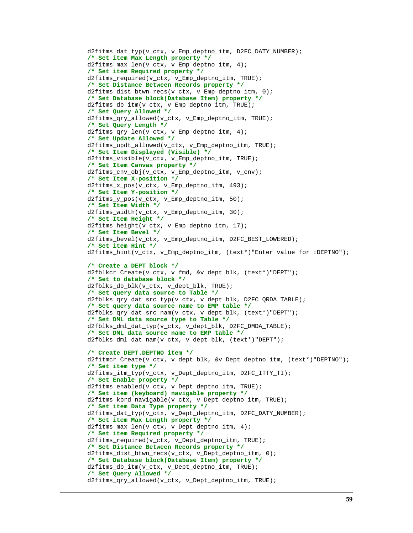```
 d2fitms_dat_typ(v_ctx, v_Emp_deptno_itm, D2FC_DATY_NUMBER);
 /* Set item Max Length property */
 d2fitms_max_len(v_ctx, v_Emp_deptno_itm, 4);
 /* Set item Required property */
 d2fitms_required(v_ctx, v_Emp_deptno_itm, TRUE);
 /* Set Distance Between Records property */
 d2fitms_dist_btwn_recs(v_ctx, v_Emp_deptno_itm, 0);
 /* Set Database block(Database Item) property */
 d2fitms_db_itm(v_ctx, v_Emp_deptno_itm, TRUE);
 /* Set Query Allowed */
 d2fitms_qry_allowed(v_ctx, v_Emp_deptno_itm, TRUE);
 /* Set Query Length */
 d2fitms_qry_len(v_ctx, v_Emp_deptno_itm, 4);
 /* Set Update Allowed */
 d2fitms_updt_allowed(v_ctx, v_Emp_deptno_itm, TRUE);
 /* Set Item Displayed (Visible) */
 d2fitms_visible(v_ctx, v_Emp_deptno_itm, TRUE);
 /* Set Item Canvas property */
 d2fitms_cnv_obj(v_ctx, v_Emp_deptno_itm, v_cnv);
 /* Set Item X-position */
 d2fitms_x_pos(v_ctx, v_Emp_deptno_itm, 493);
 /* Set Item Y-position */
 d2fitms_y_pos(v_ctx, v_Emp_deptno_itm, 50);
 /* Set Item Width */
 d2fitms_width(v_ctx, v_Emp_deptno_itm, 30);
 /* Set Item Height */
 d2fitms_height(v_ctx, v_Emp_deptno_itm, 17);
 /* Set Item Bevel */
 d2fitms_bevel(v_ctx, v_Emp_deptno_itm, D2FC_BEST_LOWERED);
 /* Set item Hint */
d2fitms_hint(v_ctx, v_Emp_deptno_itm, (text*)"Enter value for :DEPTNO");
 /* Create a DEPT block */
 d2fblkcr_Create(v_ctx, v_fmd, &v_dept_blk, (text*)"DEPT");
 /* Set to database block */
 d2fblks_db_blk(v_ctx, v_dept_blk, TRUE);
 /* Set query data source to Table */
 d2fblks_qry_dat_src_typ(v_ctx, v_dept_blk, D2FC_QRDA_TABLE);
 /* Set query data source name to EMP table */
 d2fblks_qry_dat_src_nam(v_ctx, v_dept_blk, (text*)"DEPT");
 /* Set DML data source type to Table */
 d2fblks_dml_dat_typ(v_ctx, v_dept_blk, D2FC_DMDA_TABLE);
 /* Set DML data source name to EMP table */
 d2fblks_dml_dat_nam(v_ctx, v_dept_blk, (text*)"DEPT");
 /* Create DEPT.DEPTNO item */
 d2fitmcr_Create(v_ctx, v_dept_blk, &v_Dept_deptno_itm, (text*)"DEPTNO");
 /* Set item type */
 d2fitms_itm_typ(v_ctx, v_Dept_deptno_itm, D2FC_ITTY_TI);
 /* Set Enable property */
 d2fitms_enabled(v_ctx, v_Dept_deptno_itm, TRUE);
 /* Set item (keyboard) navigable property */
 d2fitms_kbrd_navigable(v_ctx, v_Dept_deptno_itm, TRUE);
 /* Set item Data Type property */
 d2fitms_dat_typ(v_ctx, v_Dept_deptno_itm, D2FC_DATY_NUMBER);
 /* Set item Max Length property */
 d2fitms_max_len(v_ctx, v_Dept_deptno_itm, 4);
 /* Set item Required property */
 d2fitms_required(v_ctx, v_Dept_deptno_itm, TRUE);
 /* Set Distance Between Records property */
 d2fitms_dist_btwn_recs(v_ctx, v_Dept_deptno_itm, 0);
 /* Set Database block(Database Item) property */
 d2fitms_db_itm(v_ctx, v_Dept_deptno_itm, TRUE);
 /* Set Query Allowed */
 d2fitms_qry_allowed(v_ctx, v_Dept_deptno_itm, TRUE);
```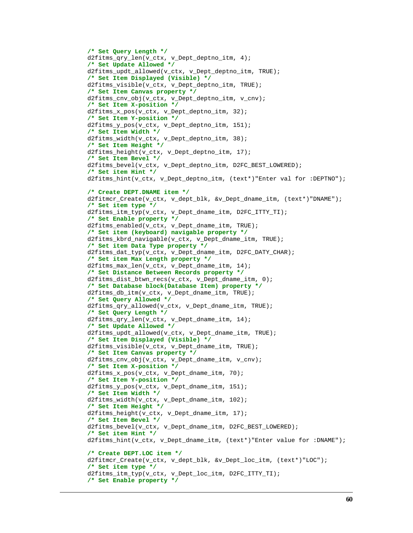```
 /* Set Query Length */
 d2fitms_qry_len(v_ctx, v_Dept_deptno_itm, 4);
 /* Set Update Allowed */
 d2fitms_updt_allowed(v_ctx, v_Dept_deptno_itm, TRUE);
 /* Set Item Displayed (Visible) */
 d2fitms_visible(v_ctx, v_Dept_deptno_itm, TRUE);
 /* Set Item Canvas property */
 d2fitms_cnv_obj(v_ctx, v_Dept_deptno_itm, v_cnv);
 /* Set Item X-position */
 d2fitms_x_pos(v_ctx, v_Dept_deptno_itm, 32);
 /* Set Item Y-position */
 d2fitms_y_pos(v_ctx, v_Dept_deptno_itm, 151);
 /* Set Item Width */
 d2fitms_width(v_ctx, v_Dept_deptno_itm, 38);
 /* Set Item Height */
 d2fitms_height(v_ctx, v_Dept_deptno_itm, 17);
 /* Set Item Bevel */
 d2fitms_bevel(v_ctx, v_Dept_deptno_itm, D2FC_BEST_LOWERED);
 /* Set item Hint */
 d2fitms_hint(v_ctx, v_Dept_deptno_itm, (text*)"Enter val for :DEPTNO");
 /* Create DEPT.DNAME item */
 d2fitmcr_Create(v_ctx, v_dept_blk, &v_Dept_dname_itm, (text*)"DNAME");
 /* Set item type */
 d2fitms_itm_typ(v_ctx, v_Dept_dname_itm, D2FC_ITTY_TI);
 /* Set Enable property */
 d2fitms_enabled(v_ctx, v_Dept_dname_itm, TRUE);
 /* Set item (keyboard) navigable property */
 d2fitms_kbrd_navigable(v_ctx, v_Dept_dname_itm, TRUE);
 /* Set item Data Type property */
 d2fitms_dat_typ(v_ctx, v_Dept_dname_itm, D2FC_DATY_CHAR);
 /* Set item Max Length property */
 d2fitms_max_len(v_ctx, v_Dept_dname_itm, 14);
 /* Set Distance Between Records property */
d2fitms_dist_btwn_recs(v_ctx, v_Dept_dname_itm, 0);
 /* Set Database block(Database Item) property */
 d2fitms_db_itm(v_ctx, v_Dept_dname_itm, TRUE);
 /* Set Query Allowed */
 d2fitms_qry_allowed(v_ctx, v_Dept_dname_itm, TRUE);
 /* Set Query Length */
 d2fitms_qry_len(v_ctx, v_Dept_dname_itm, 14);
 /* Set Update Allowed */
 d2fitms_updt_allowed(v_ctx, v_Dept_dname_itm, TRUE);
 /* Set Item Displayed (Visible) */
 d2fitms_visible(v_ctx, v_Dept_dname_itm, TRUE);
 /* Set Item Canvas property */
 d2fitms_cnv_obj(v_ctx, v_Dept_dname_itm, v_cnv);
 /* Set Item X-position */
 d2fitms_x_pos(v_ctx, v_Dept_dname_itm, 70);
 /* Set Item Y-position */
 d2fitms_y_pos(v_ctx, v_Dept_dname_itm, 151);
 /* Set Item Width */
 d2fitms_width(v_ctx, v_Dept_dname_itm, 102);
 /* Set Item Height */
 d2fitms_height(v_ctx, v_Dept_dname_itm, 17);
 /* Set Item Bevel */
 d2fitms_bevel(v_ctx, v_Dept_dname_itm, D2FC_BEST_LOWERED);
 /* Set item Hint */
 d2fitms_hint(v_ctx, v_Dept_dname_itm, (text*)"Enter value for :DNAME");
 /* Create DEPT.LOC item */
 d2fitmcr_Create(v_ctx, v_dept_blk, &v_Dept_loc_itm, (text*)"LOC");
 /* Set item type */
 d2fitms_itm_typ(v_ctx, v_Dept_loc_itm, D2FC_ITTY_TI);
 /* Set Enable property */
```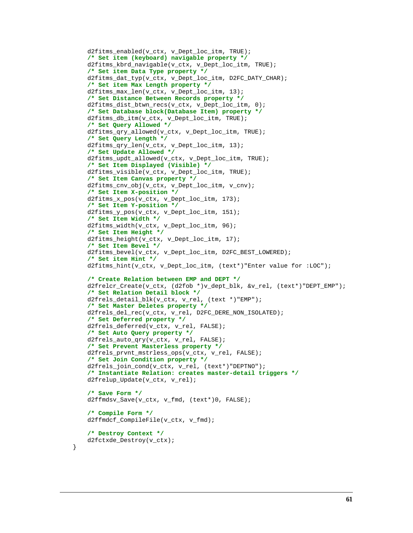```
 d2fitms_enabled(v_ctx, v_Dept_loc_itm, TRUE);
 /* Set item (keyboard) navigable property */
 d2fitms_kbrd_navigable(v_ctx, v_Dept_loc_itm, TRUE);
 /* Set item Data Type property */
 d2fitms_dat_typ(v_ctx, v_Dept_loc_itm, D2FC_DATY_CHAR);
 /* Set item Max Length property */
 d2fitms_max_len(v_ctx, v_Dept_loc_itm, 13);
 /* Set Distance Between Records property */
d2fitms_dist_btwn_recs(v_ctx, v_Dept_loc_itm, 0);
 /* Set Database block(Database Item) property */
 d2fitms_db_itm(v_ctx, v_Dept_loc_itm, TRUE);
 /* Set Query Allowed */
 d2fitms_qry_allowed(v_ctx, v_Dept_loc_itm, TRUE);
 /* Set Query Length */
 d2fitms_qry_len(v_ctx, v_Dept_loc_itm, 13);
 /* Set Update Allowed */
 d2fitms_updt_allowed(v_ctx, v_Dept_loc_itm, TRUE);
 /* Set Item Displayed (Visible) */
 d2fitms_visible(v_ctx, v_Dept_loc_itm, TRUE);
 /* Set Item Canvas property */
 d2fitms_cnv_obj(v_ctx, v_Dept_loc_itm, v_cnv);
 /* Set Item X-position */
 d2fitms_x_pos(v_ctx, v_Dept_loc_itm, 173);
 /* Set Item Y-position */
 d2fitms_y_pos(v_ctx, v_Dept_loc_itm, 151);
 /* Set Item Width */
 d2fitms_width(v_ctx, v_Dept_loc_itm, 96);
 /* Set Item Height */
 d2fitms_height(v_ctx, v_Dept_loc_itm, 17);
 /* Set Item Bevel */
 d2fitms_bevel(v_ctx, v_Dept_loc_itm, D2FC_BEST_LOWERED);
 /* Set item Hint */
 d2fitms_hint(v_ctx, v_Dept_loc_itm, (text*)"Enter value for :LOC");
 /* Create Relation between EMP and DEPT */
 d2frelcr_Create(v_ctx, (d2fob *)v_dept_blk, &v_rel, (text*)"DEPT_EMP");
 /* Set Relation Detail block */
 d2frels_detail_blk(v_ctx, v_rel, (text *)"EMP");
 /* Set Master Deletes property */
 d2frels_del_rec(v_ctx, v_rel, D2FC_DERE_NON_ISOLATED);
 /* Set Deferred property */
 d2frels_deferred(v_ctx, v_rel, FALSE);
 /* Set Auto Query property */
 d2frels_auto_qry(v_ctx, v_rel, FALSE);
 /* Set Prevent Masterless property */
 d2frels_prvnt_mstrless_ops(v_ctx, v_rel, FALSE);
 /* Set Join Condition property */
 d2frels_join_cond(v_ctx, v_rel, (text*)"DEPTNO");
 /* Instantiate Relation: creates master-detail triggers */
 d2frelup_Update(v_ctx, v_rel);
 /* Save Form */
 d2ffmdsv_Save(v_ctx, v_fmd, (text*)0, FALSE);
 /* Compile Form */
 d2ffmdcf_CompileFile(v_ctx, v_fmd);
 /* Destroy Context */
 d2fctxde_Destroy(v_ctx);
```
}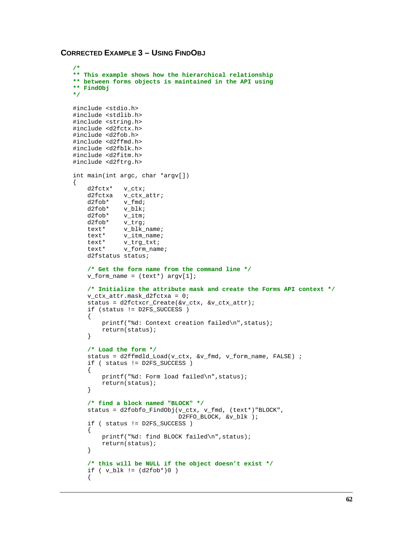# **CORRECTED EXAMPLE 3 – USING FINDOBJ**

```
/*
** This example shows how the hierarchical relationship
** between forms objects is maintained in the API using
** FindObj
*/
#include <stdio.h>
#include <stdlib.h>
#include <string.h>
#include <d2fctx.h>
#include <d2fob.h>
#include <d2ffmd.h>
#include <d2fblk.h>
#include <d2fitm.h>
#include <d2ftrg.h>
int main(int argc, char *argv[])
{
    d2fctx* v_ctx;<br>d2fctxa v_ctx;
             v_ctx_attr;
     d2fob* v_fmd;
     d2fob* v_blk;
     d2fob* v_itm;
    d2fob* v_trg;<br>text* v_blk_
              v_blk_name;
     text* v_itm_name;
    text* v_trg_txt;<br>text* v form nam
              v form name;
     d2fstatus status;
     /* Get the form name from the command line */
    v_form_name = (text*) argv[1]; /* Initialize the attribute mask and create the Forms API context */
     v_ctx_attr.mask_d2fctxa = 0;
     status = d2fctxcr_Create(&v_ctx, &v_ctx_attr);
     if (status != D2FS_SUCCESS )
     {
         printf("%d: Context creation failed\n",status);
         return(status);
     }
     /* Load the form */
     status = d2ffmdld_Load(v_ctx, &v_fmd, v_form_name, FALSE) ;
     if ( status != D2FS_SUCCESS )
     {
         printf("%d: Form load failed\n",status);
         return(status);
     }
     /* find a block named "BLOCK" */
     status = d2fobfo_FindObj(v_ctx, v_fmd, (text*)"BLOCK",
                               D2FFO_BLOCK, &v_blk );
     if ( status != D2FS_SUCCESS )
     {
         printf("%d: find BLOCK failed\n",status);
         return(status);
     }
     /* this will be NULL if the object doesn't exist */
     if ( v_blk != (d2fob*)0 )
     {
```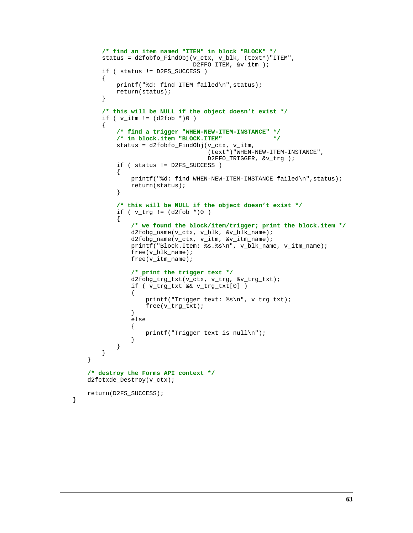```
 /* find an item named "ITEM" in block "BLOCK" */
        status = d2fobfo_FindObj(v_ctx, v_blk, (text*)"ITEM",
                               D2FFO_ITEM, &v_itm );
        if ( status != D2FS_SUCCESS )
        {
           printf("%d: find ITEM failed\n",status);
           return(status);
        }
        /* this will be NULL if the object doesn't exist */
       if (v_i_itm != (d2fob * )0 ) {
           /* find a trigger "WHEN-NEW-ITEM-INSTANCE" */
           /* in block.item "BLOCK.ITEM" */
 status = d2fobfo_FindObj(v_ctx, v_itm,
 (text*)"WHEN-NEW-ITEM-INSTANCE",
                                  D2FFO_TRIGGER, &v_trg );
           if ( status != D2FS_SUCCESS )
\{ printf("%d: find WHEN-NEW-ITEM-INSTANCE failed\n",status);
          return(status);<br>}
 }
           /* this will be NULL if the object doesn't exist */
          if ( v_{trg} := (d2fob * )0 )
\{ /* we found the block/item/trigger; print the block.item */
               d2fobg_name(v_ctx, v_blk, &v_blk_name);
               d2fobg_name(v_ctx, v_itm, &v_itm_name);
               printf("Block.Item: %s.%s\n", v_blk_name, v_itm_name);
               free(v_blk_name);
               free(v_itm_name);
               /* print the trigger text */
               d2fobg_trg_txt(v_ctx, v_trg, &v_trg_txt);
              if ( v trg txt && v trg txt[0] )
 {
                   printf("Trigger text: %s\n", v_trg_txt);
                   free(v_trg_txt);
 }
               else
 {
              printf("Trigger text is null\n\n\{n"\};
 }
 }
        }
    }
    /* destroy the Forms API context */
    d2fctxde_Destroy(v_ctx);
    return(D2FS_SUCCESS);
```
}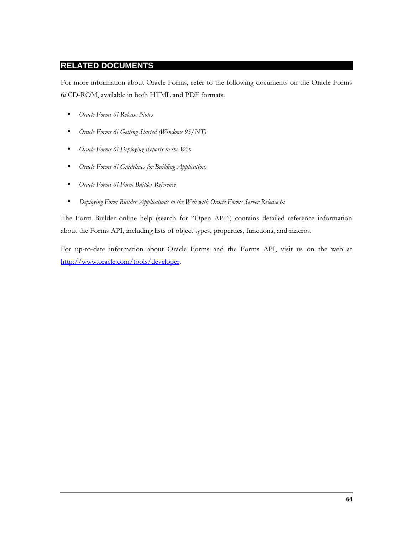# **RELATED DOCUMENTS**

For more information about Oracle Forms, refer to the following documents on the Oracle Forms 6i CD-ROM, available in both HTML and PDF formats:

- Oracle Forms 6i Release Notes  $\bullet$
- Oracle Forms 6i Getting Started (Windows 95/NT)  $\bullet$
- Oracle Forms 6i Deploying Reports to the Web  $\bullet$
- Oracle Forms 6i Guidelines for Building Applications
- Oracle Forms 6i Form Builder Reference  $\bullet$
- Deploying Form Builder Applications to the Web with Oracle Forms Server Release 6i  $\bullet$

The Form Builder online help (search for "Open API") contains detailed reference information about the Forms API, including lists of object types, properties, functions, and macros.

For up-to-date information about Oracle Forms and the Forms API, visit us on the web at http://www.oracle.com/tools/developer.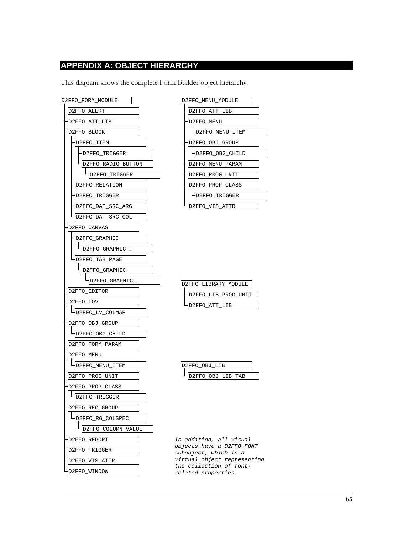# **APPENDIX A: OBJECT HIERARCHY**

This diagram shows the complete Form Builder object hierarchy.



| D2FFO MENU MODULE |  |
|-------------------|--|
| D2FFO ATT LIB     |  |
| D2FFO MENU        |  |
| D2FFO MENU ITEM   |  |
| D2FFO OBJ GROUP   |  |
| D2FFO_OBG_CHILD   |  |
| D2FFO MENU PARAM  |  |
| D2FFO PROG UNIT   |  |
| D2FFO PROP CLASS  |  |
| D2FFO TRIGGER     |  |
| D2FFO VIS ATTR    |  |

| D2FFO LIBRARY_MODULE |
|----------------------|
| 2FFO_LIB_PROG_UNIT   |
| 2FFO ATT LIR         |

| T.TR<br>FO ORT |  |
|----------------|--|
| T.T T.R<br>FOI |  |

In addition, all visual objects have a D2FFO\_FONT subobject, which is a virtual object representing the collection of fontrelated properties.